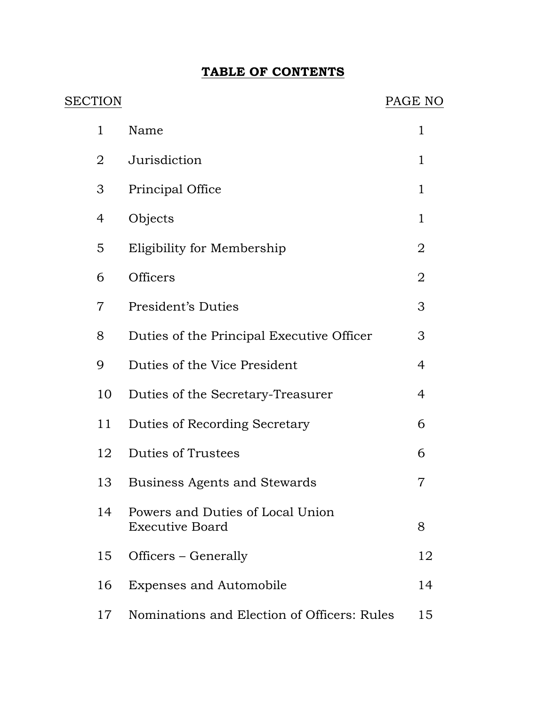# **TABLE OF CONTENTS**

| SECTION        |                                                            | PAGE NO        |
|----------------|------------------------------------------------------------|----------------|
| $\mathbf{1}$   | Name                                                       | 1              |
| 2              | Jurisdiction                                               | $\mathbf{1}$   |
| 3              | Principal Office                                           | $\mathbf{1}$   |
| 4              | Objects                                                    | $\mathbf{1}$   |
| 5              | Eligibility for Membership                                 | 2              |
| 6              | Officers                                                   | $\overline{2}$ |
| $\overline{7}$ | President's Duties                                         | 3              |
| 8              | Duties of the Principal Executive Officer                  | 3              |
| 9              | Duties of the Vice President                               | 4              |
| 10             | Duties of the Secretary-Treasurer                          | $\overline{4}$ |
| 11             | Duties of Recording Secretary                              | 6              |
| 12             | <b>Duties of Trustees</b>                                  | 6              |
| 13             | <b>Business Agents and Stewards</b>                        | 7              |
| 14             | Powers and Duties of Local Union<br><b>Executive Board</b> | 8              |
| 15             | Officers – Generally                                       | 12             |
| 16             | <b>Expenses and Automobile</b>                             | 14             |
| 17             | Nominations and Election of Officers: Rules                | 15             |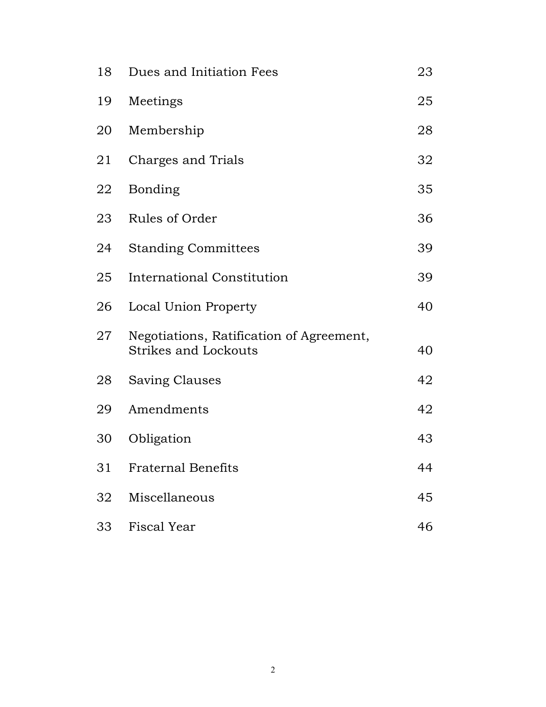| 18 | Dues and Initiation Fees                                                | 23 |
|----|-------------------------------------------------------------------------|----|
| 19 | Meetings                                                                | 25 |
| 20 | Membership                                                              | 28 |
| 21 | Charges and Trials                                                      | 32 |
| 22 | <b>Bonding</b>                                                          | 35 |
| 23 | Rules of Order                                                          | 36 |
| 24 | <b>Standing Committees</b>                                              | 39 |
| 25 | <b>International Constitution</b>                                       | 39 |
| 26 | Local Union Property                                                    | 40 |
| 27 | Negotiations, Ratification of Agreement,<br><b>Strikes and Lockouts</b> | 40 |
| 28 | Saving Clauses                                                          | 42 |
| 29 | Amendments                                                              | 42 |
| 30 | Obligation                                                              | 43 |
| 31 | <b>Fraternal Benefits</b>                                               | 44 |
| 32 | Miscellaneous                                                           | 45 |
| 33 | <b>Fiscal Year</b>                                                      | 46 |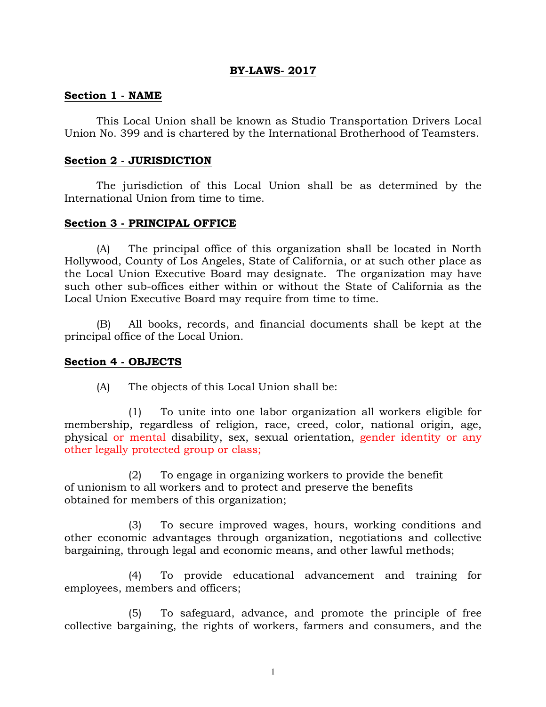### **BY-LAWS- 2017**

### **Section 1 - NAME**

This Local Union shall be known as Studio Transportation Drivers Local Union No. 399 and is chartered by the International Brotherhood of Teamsters.

### **Section 2 - JURISDICTION**

The jurisdiction of this Local Union shall be as determined by the International Union from time to time.

### **Section 3 - PRINCIPAL OFFICE**

(A) The principal office of this organization shall be located in North Hollywood, County of Los Angeles, State of California, or at such other place as the Local Union Executive Board may designate. The organization may have such other sub-offices either within or without the State of California as the Local Union Executive Board may require from time to time.

(B) All books, records, and financial documents shall be kept at the principal office of the Local Union.

### **Section 4 - OBJECTS**

(A) The objects of this Local Union shall be:

(1) To unite into one labor organization all workers eligible for membership, regardless of religion, race, creed, color, national origin, age, physical or mental disability, sex, sexual orientation, gender identity or any other legally protected group or class;

(2) To engage in organizing workers to provide the benefit of unionism to all workers and to protect and preserve the benefits obtained for members of this organization;

(3) To secure improved wages, hours, working conditions and other economic advantages through organization, negotiations and collective bargaining, through legal and economic means, and other lawful methods;

(4) To provide educational advancement and training for employees, members and officers;

(5) To safeguard, advance, and promote the principle of free collective bargaining, the rights of workers, farmers and consumers, and the

1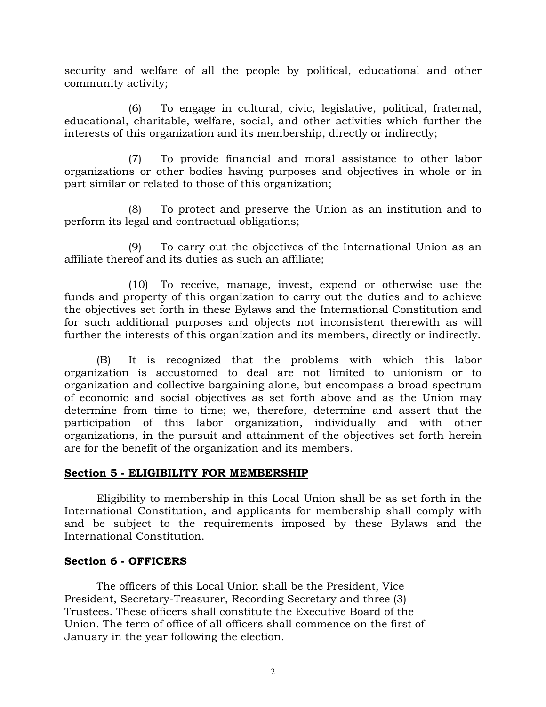security and welfare of all the people by political, educational and other community activity;

(6) To engage in cultural, civic, legislative, political, fraternal, educational, charitable, welfare, social, and other activities which further the interests of this organization and its membership, directly or indirectly;

(7) To provide financial and moral assistance to other labor organizations or other bodies having purposes and objectives in whole or in part similar or related to those of this organization;

(8) To protect and preserve the Union as an institution and to perform its legal and contractual obligations;

(9) To carry out the objectives of the International Union as an affiliate thereof and its duties as such an affiliate;

(10) To receive, manage, invest, expend or otherwise use the funds and property of this organization to carry out the duties and to achieve the objectives set forth in these Bylaws and the International Constitution and for such additional purposes and objects not inconsistent therewith as will further the interests of this organization and its members, directly or indirectly.

(B) It is recognized that the problems with which this labor organization is accustomed to deal are not limited to unionism or to organization and collective bargaining alone, but encompass a broad spectrum of economic and social objectives as set forth above and as the Union may determine from time to time; we, therefore, determine and assert that the participation of this labor organization, individually and with other organizations, in the pursuit and attainment of the objectives set forth herein are for the benefit of the organization and its members.

# **Section 5 - ELIGIBILITY FOR MEMBERSHIP**

Eligibility to membership in this Local Union shall be as set forth in the International Constitution, and applicants for membership shall comply with and be subject to the requirements imposed by these Bylaws and the International Constitution.

# **Section 6 - OFFICERS**

The officers of this Local Union shall be the President, Vice President, Secretary-Treasurer, Recording Secretary and three (3) Trustees. These officers shall constitute the Executive Board of the Union. The term of office of all officers shall commence on the first of January in the year following the election.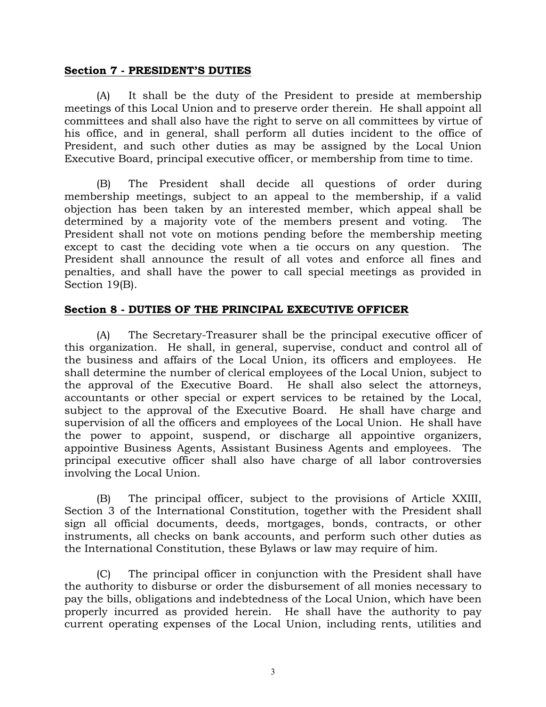### **Section 7 - PRESIDENT'S DUTIES**

(A) It shall be the duty of the President to preside at membership meetings of this Local Union and to preserve order therein. He shall appoint all committees and shall also have the right to serve on all committees by virtue of his office, and in general, shall perform all duties incident to the office of President, and such other duties as may be assigned by the Local Union Executive Board, principal executive officer, or membership from time to time.

(B) The President shall decide all questions of order during membership meetings, subject to an appeal to the membership, if a valid objection has been taken by an interested member, which appeal shall be determined by a majority vote of the members present and voting. The President shall not vote on motions pending before the membership meeting except to cast the deciding vote when a tie occurs on any question. The President shall announce the result of all votes and enforce all fines and penalties, and shall have the power to call special meetings as provided in Section 19(B).

# **Section 8 - DUTIES OF THE PRINCIPAL EXECUTIVE OFFICER**

(A) The Secretary-Treasurer shall be the principal executive officer of this organization. He shall, in general, supervise, conduct and control all of the business and affairs of the Local Union, its officers and employees. He shall determine the number of clerical employees of the Local Union, subject to the approval of the Executive Board. He shall also select the attorneys, accountants or other special or expert services to be retained by the Local, subject to the approval of the Executive Board. He shall have charge and supervision of all the officers and employees of the Local Union. He shall have the power to appoint, suspend, or discharge all appointive organizers, appointive Business Agents, Assistant Business Agents and employees. The principal executive officer shall also have charge of all labor controversies involving the Local Union.

(B) The principal officer, subject to the provisions of Article XXIII, Section 3 of the International Constitution, together with the President shall sign all official documents, deeds, mortgages, bonds, contracts, or other instruments, all checks on bank accounts, and perform such other duties as the International Constitution, these Bylaws or law may require of him.

(C) The principal officer in conjunction with the President shall have the authority to disburse or order the disbursement of all monies necessary to pay the bills, obligations and indebtedness of the Local Union, which have been properly incurred as provided herein. He shall have the authority to pay current operating expenses of the Local Union, including rents, utilities and

3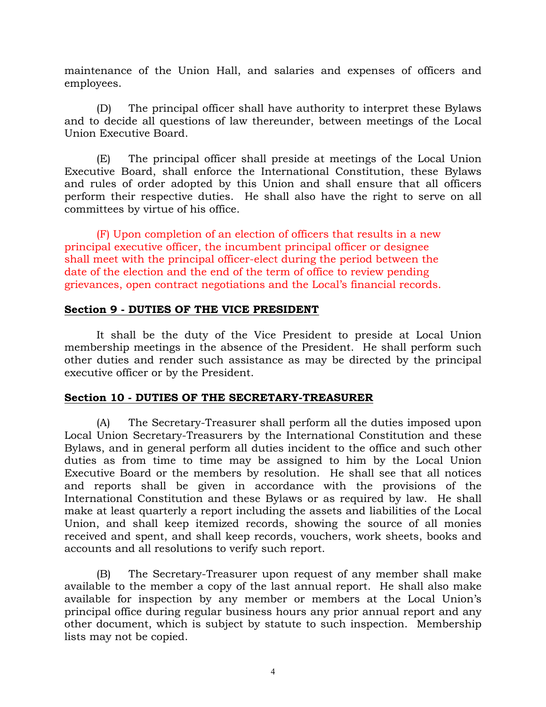maintenance of the Union Hall, and salaries and expenses of officers and employees.

(D) The principal officer shall have authority to interpret these Bylaws and to decide all questions of law thereunder, between meetings of the Local Union Executive Board.

(E) The principal officer shall preside at meetings of the Local Union Executive Board, shall enforce the International Constitution, these Bylaws and rules of order adopted by this Union and shall ensure that all officers perform their respective duties. He shall also have the right to serve on all committees by virtue of his office.

(F) Upon completion of an election of officers that results in a new principal executive officer, the incumbent principal officer or designee shall meet with the principal officer-elect during the period between the date of the election and the end of the term of office to review pending grievances, open contract negotiations and the Local's financial records.

### **Section 9 - DUTIES OF THE VICE PRESIDENT**

It shall be the duty of the Vice President to preside at Local Union membership meetings in the absence of the President. He shall perform such other duties and render such assistance as may be directed by the principal executive officer or by the President.

# **Section 10 - DUTIES OF THE SECRETARY-TREASURER**

(A) The Secretary-Treasurer shall perform all the duties imposed upon Local Union Secretary-Treasurers by the International Constitution and these Bylaws, and in general perform all duties incident to the office and such other duties as from time to time may be assigned to him by the Local Union Executive Board or the members by resolution. He shall see that all notices and reports shall be given in accordance with the provisions of the International Constitution and these Bylaws or as required by law. He shall make at least quarterly a report including the assets and liabilities of the Local Union, and shall keep itemized records, showing the source of all monies received and spent, and shall keep records, vouchers, work sheets, books and accounts and all resolutions to verify such report.

(B) The Secretary-Treasurer upon request of any member shall make available to the member a copy of the last annual report. He shall also make available for inspection by any member or members at the Local Union's principal office during regular business hours any prior annual report and any other document, which is subject by statute to such inspection. Membership lists may not be copied.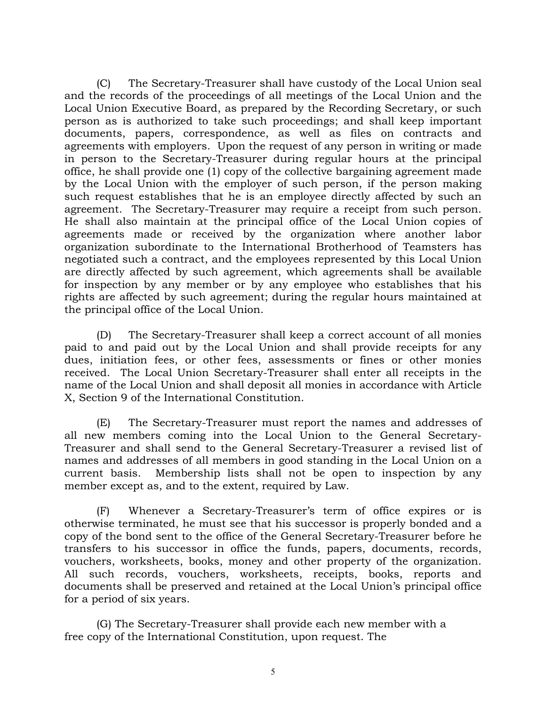(C) The Secretary-Treasurer shall have custody of the Local Union seal and the records of the proceedings of all meetings of the Local Union and the Local Union Executive Board, as prepared by the Recording Secretary, or such person as is authorized to take such proceedings; and shall keep important documents, papers, correspondence, as well as files on contracts and agreements with employers. Upon the request of any person in writing or made in person to the Secretary-Treasurer during regular hours at the principal office, he shall provide one (1) copy of the collective bargaining agreement made by the Local Union with the employer of such person, if the person making such request establishes that he is an employee directly affected by such an agreement. The Secretary-Treasurer may require a receipt from such person. He shall also maintain at the principal office of the Local Union copies of agreements made or received by the organization where another labor organization subordinate to the International Brotherhood of Teamsters has negotiated such a contract, and the employees represented by this Local Union are directly affected by such agreement, which agreements shall be available for inspection by any member or by any employee who establishes that his rights are affected by such agreement; during the regular hours maintained at the principal office of the Local Union.

(D) The Secretary-Treasurer shall keep a correct account of all monies paid to and paid out by the Local Union and shall provide receipts for any dues, initiation fees, or other fees, assessments or fines or other monies received. The Local Union Secretary-Treasurer shall enter all receipts in the name of the Local Union and shall deposit all monies in accordance with Article X, Section 9 of the International Constitution.

(E) The Secretary-Treasurer must report the names and addresses of all new members coming into the Local Union to the General Secretary-Treasurer and shall send to the General Secretary-Treasurer a revised list of names and addresses of all members in good standing in the Local Union on a current basis. Membership lists shall not be open to inspection by any member except as, and to the extent, required by Law.

(F) Whenever a Secretary-Treasurer's term of office expires or is otherwise terminated, he must see that his successor is properly bonded and a copy of the bond sent to the office of the General Secretary-Treasurer before he transfers to his successor in office the funds, papers, documents, records, vouchers, worksheets, books, money and other property of the organization. All such records, vouchers, worksheets, receipts, books, reports and documents shall be preserved and retained at the Local Union's principal office for a period of six years.

(G) The Secretary-Treasurer shall provide each new member with a free copy of the International Constitution, upon request. The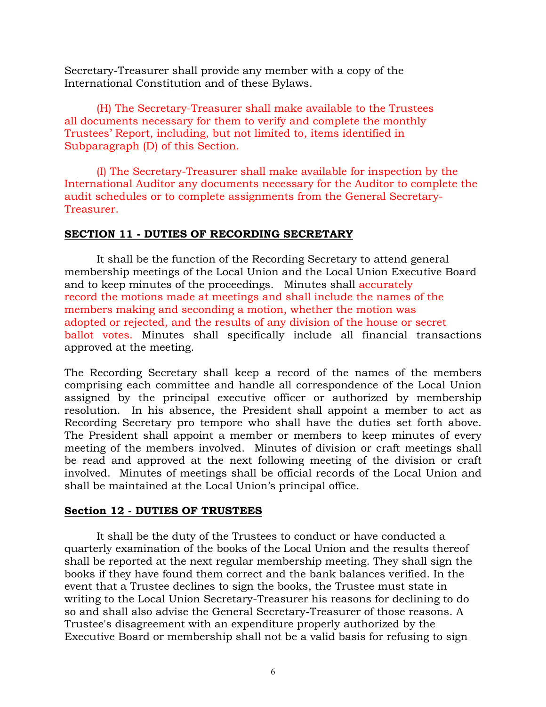Secretary-Treasurer shall provide any member with a copy of the International Constitution and of these Bylaws.

(H) The Secretary-Treasurer shall make available to the Trustees all documents necessary for them to verify and complete the monthly Trustees' Report, including, but not limited to, items identified in Subparagraph (D) of this Section.

(I) The Secretary-Treasurer shall make available for inspection by the International Auditor any documents necessary for the Auditor to complete the audit schedules or to complete assignments from the General Secretary-Treasurer.

# **SECTION 11 - DUTIES OF RECORDING SECRETARY**

It shall be the function of the Recording Secretary to attend general membership meetings of the Local Union and the Local Union Executive Board and to keep minutes of the proceedings. Minutes shall accurately record the motions made at meetings and shall include the names of the members making and seconding a motion, whether the motion was adopted or rejected, and the results of any division of the house or secret ballot votes. Minutes shall specifically include all financial transactions approved at the meeting.

The Recording Secretary shall keep a record of the names of the members comprising each committee and handle all correspondence of the Local Union assigned by the principal executive officer or authorized by membership resolution. In his absence, the President shall appoint a member to act as Recording Secretary pro tempore who shall have the duties set forth above. The President shall appoint a member or members to keep minutes of every meeting of the members involved. Minutes of division or craft meetings shall be read and approved at the next following meeting of the division or craft involved. Minutes of meetings shall be official records of the Local Union and shall be maintained at the Local Union's principal office.

# **Section 12 - DUTIES OF TRUSTEES**

It shall be the duty of the Trustees to conduct or have conducted a quarterly examination of the books of the Local Union and the results thereof shall be reported at the next regular membership meeting. They shall sign the books if they have found them correct and the bank balances verified. In the event that a Trustee declines to sign the books, the Trustee must state in writing to the Local Union Secretary-Treasurer his reasons for declining to do so and shall also advise the General Secretary-Treasurer of those reasons. A Trustee's disagreement with an expenditure properly authorized by the Executive Board or membership shall not be a valid basis for refusing to sign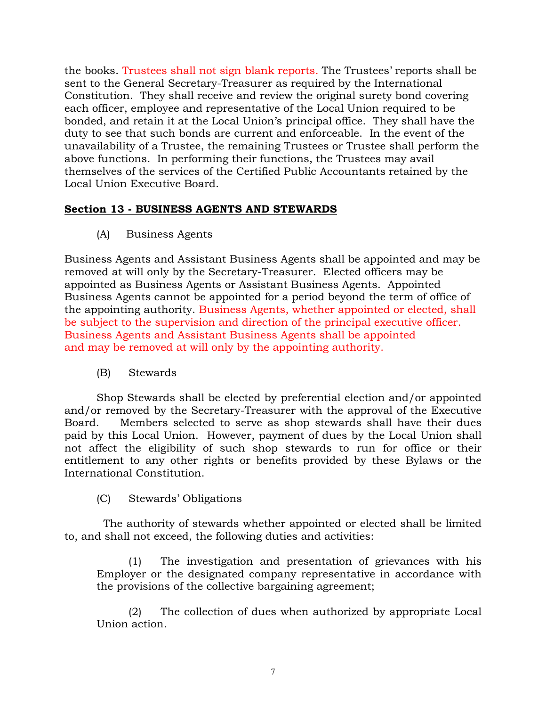the books. Trustees shall not sign blank reports*.* The Trustees' reports shall be sent to the General Secretary-Treasurer as required by the International Constitution. They shall receive and review the original surety bond covering each officer, employee and representative of the Local Union required to be bonded, and retain it at the Local Union's principal office. They shall have the duty to see that such bonds are current and enforceable. In the event of the unavailability of a Trustee, the remaining Trustees or Trustee shall perform the above functions. In performing their functions, the Trustees may avail themselves of the services of the Certified Public Accountants retained by the Local Union Executive Board.

# **Section 13 - BUSINESS AGENTS AND STEWARDS**

(A) Business Agents

Business Agents and Assistant Business Agents shall be appointed and may be removed at will only by the Secretary-Treasurer. Elected officers may be appointed as Business Agents or Assistant Business Agents. Appointed Business Agents cannot be appointed for a period beyond the term of office of the appointing authority. Business Agents, whether appointed or elected, shall be subject to the supervision and direction of the principal executive officer. Business Agents and Assistant Business Agents shall be appointed and may be removed at will only by the appointing authority.

(B) Stewards

Shop Stewards shall be elected by preferential election and/or appointed and/or removed by the Secretary-Treasurer with the approval of the Executive Board. Members selected to serve as shop stewards shall have their dues paid by this Local Union. However, payment of dues by the Local Union shall not affect the eligibility of such shop stewards to run for office or their entitlement to any other rights or benefits provided by these Bylaws or the International Constitution.

(C) Stewards' Obligations

 The authority of stewards whether appointed or elected shall be limited to, and shall not exceed, the following duties and activities:

(1) The investigation and presentation of grievances with his Employer or the designated company representative in accordance with the provisions of the collective bargaining agreement;

(2) The collection of dues when authorized by appropriate Local Union action.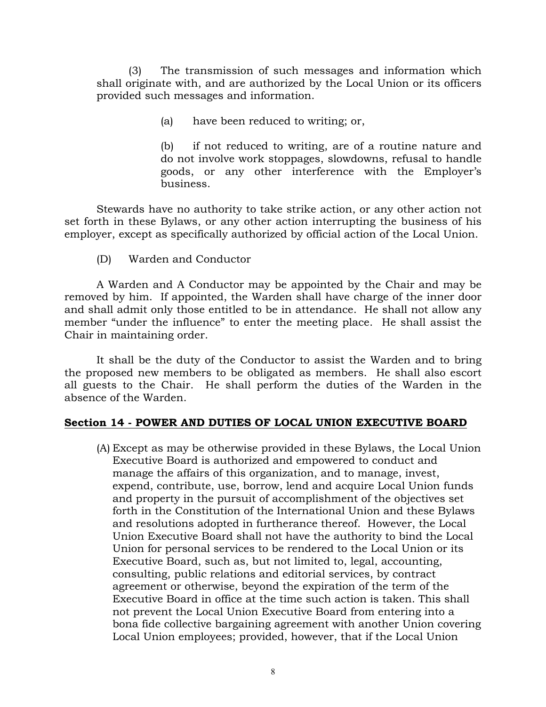(3) The transmission of such messages and information which shall originate with, and are authorized by the Local Union or its officers provided such messages and information.

(a) have been reduced to writing; or,

(b) if not reduced to writing, are of a routine nature and do not involve work stoppages, slowdowns, refusal to handle goods, or any other interference with the Employer's business.

Stewards have no authority to take strike action, or any other action not set forth in these Bylaws, or any other action interrupting the business of his employer, except as specifically authorized by official action of the Local Union.

(D) Warden and Conductor

A Warden and A Conductor may be appointed by the Chair and may be removed by him. If appointed, the Warden shall have charge of the inner door and shall admit only those entitled to be in attendance. He shall not allow any member "under the influence" to enter the meeting place. He shall assist the Chair in maintaining order.

It shall be the duty of the Conductor to assist the Warden and to bring the proposed new members to be obligated as members. He shall also escort all guests to the Chair. He shall perform the duties of the Warden in the absence of the Warden.

### **Section 14 - POWER AND DUTIES OF LOCAL UNION EXECUTIVE BOARD**

(A) Except as may be otherwise provided in these Bylaws, the Local Union Executive Board is authorized and empowered to conduct and manage the affairs of this organization, and to manage, invest, expend, contribute, use, borrow, lend and acquire Local Union funds and property in the pursuit of accomplishment of the objectives set forth in the Constitution of the International Union and these Bylaws and resolutions adopted in furtherance thereof. However, the Local Union Executive Board shall not have the authority to bind the Local Union for personal services to be rendered to the Local Union or its Executive Board, such as, but not limited to, legal, accounting, consulting, public relations and editorial services, by contract agreement or otherwise, beyond the expiration of the term of the Executive Board in office at the time such action is taken. This shall not prevent the Local Union Executive Board from entering into a bona fide collective bargaining agreement with another Union covering Local Union employees; provided, however, that if the Local Union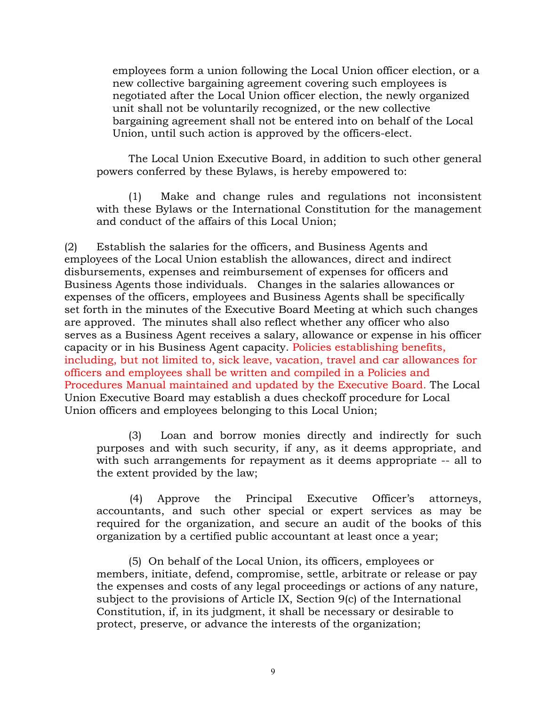employees form a union following the Local Union officer election, or a new collective bargaining agreement covering such employees is negotiated after the Local Union officer election, the newly organized unit shall not be voluntarily recognized, or the new collective bargaining agreement shall not be entered into on behalf of the Local Union, until such action is approved by the officers-elect.

The Local Union Executive Board, in addition to such other general powers conferred by these Bylaws, is hereby empowered to:

(1) Make and change rules and regulations not inconsistent with these Bylaws or the International Constitution for the management and conduct of the affairs of this Local Union;

(2) Establish the salaries for the officers, and Business Agents and employees of the Local Union establish the allowances, direct and indirect disbursements, expenses and reimbursement of expenses for officers and Business Agents those individuals. Changes in the salaries allowances or expenses of the officers, employees and Business Agents shall be specifically set forth in the minutes of the Executive Board Meeting at which such changes are approved. The minutes shall also reflect whether any officer who also serves as a Business Agent receives a salary, allowance or expense in his officer capacity or in his Business Agent capacity. Policies establishing benefits, including, but not limited to, sick leave, vacation, travel and car allowances for officers and employees shall be written and compiled in a Policies and Procedures Manual maintained and updated by the Executive Board. The Local Union Executive Board may establish a dues checkoff procedure for Local Union officers and employees belonging to this Local Union;

(3) Loan and borrow monies directly and indirectly for such purposes and with such security, if any, as it deems appropriate, and with such arrangements for repayment as it deems appropriate -- all to the extent provided by the law;

(4) Approve the Principal Executive Officer's attorneys, accountants, and such other special or expert services as may be required for the organization, and secure an audit of the books of this organization by a certified public accountant at least once a year;

(5) On behalf of the Local Union, its officers, employees or members, initiate, defend, compromise, settle, arbitrate or release or pay the expenses and costs of any legal proceedings or actions of any nature, subject to the provisions of Article IX, Section 9(c) of the International Constitution, if, in its judgment, it shall be necessary or desirable to protect, preserve, or advance the interests of the organization;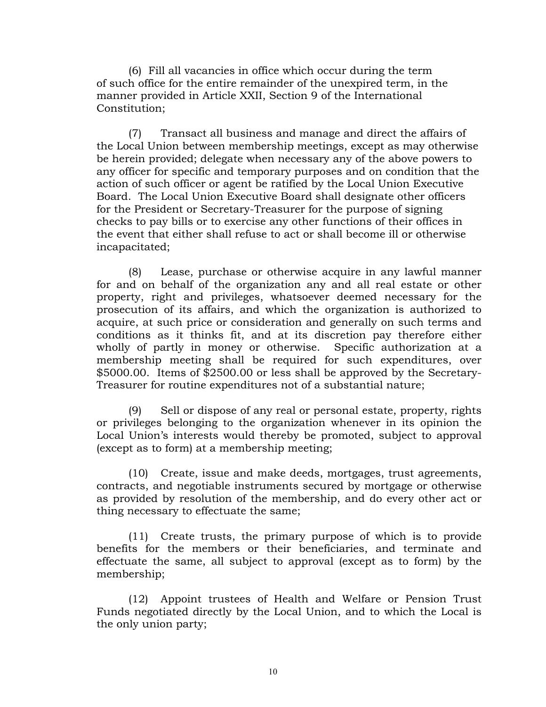(6) Fill all vacancies in office which occur during the term of such office for the entire remainder of the unexpired term, in the manner provided in Article XXII, Section 9 of the International Constitution;

(7) Transact all business and manage and direct the affairs of the Local Union between membership meetings, except as may otherwise be herein provided; delegate when necessary any of the above powers to any officer for specific and temporary purposes and on condition that the action of such officer or agent be ratified by the Local Union Executive Board. The Local Union Executive Board shall designate other officers for the President or Secretary-Treasurer for the purpose of signing checks to pay bills or to exercise any other functions of their offices in the event that either shall refuse to act or shall become ill or otherwise incapacitated;

(8) Lease, purchase or otherwise acquire in any lawful manner for and on behalf of the organization any and all real estate or other property, right and privileges, whatsoever deemed necessary for the prosecution of its affairs, and which the organization is authorized to acquire, at such price or consideration and generally on such terms and conditions as it thinks fit, and at its discretion pay therefore either wholly of partly in money or otherwise. Specific authorization at a membership meeting shall be required for such expenditures, over \$5000.00. Items of \$2500.00 or less shall be approved by the Secretary-Treasurer for routine expenditures not of a substantial nature;

(9) Sell or dispose of any real or personal estate, property, rights or privileges belonging to the organization whenever in its opinion the Local Union's interests would thereby be promoted, subject to approval (except as to form) at a membership meeting;

(10) Create, issue and make deeds, mortgages, trust agreements, contracts, and negotiable instruments secured by mortgage or otherwise as provided by resolution of the membership, and do every other act or thing necessary to effectuate the same;

(11) Create trusts, the primary purpose of which is to provide benefits for the members or their beneficiaries, and terminate and effectuate the same, all subject to approval (except as to form) by the membership;

(12) Appoint trustees of Health and Welfare or Pension Trust Funds negotiated directly by the Local Union, and to which the Local is the only union party;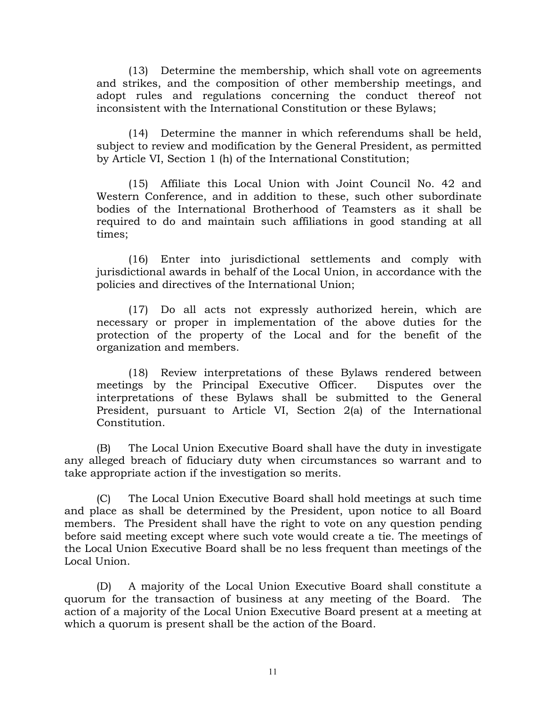(13) Determine the membership, which shall vote on agreements and strikes, and the composition of other membership meetings, and adopt rules and regulations concerning the conduct thereof not inconsistent with the International Constitution or these Bylaws;

(14) Determine the manner in which referendums shall be held, subject to review and modification by the General President, as permitted by Article VI, Section 1 (h) of the International Constitution;

(15) Affiliate this Local Union with Joint Council No. 42 and Western Conference, and in addition to these, such other subordinate bodies of the International Brotherhood of Teamsters as it shall be required to do and maintain such affiliations in good standing at all times;

(16) Enter into jurisdictional settlements and comply with jurisdictional awards in behalf of the Local Union, in accordance with the policies and directives of the International Union;

(17) Do all acts not expressly authorized herein, which are necessary or proper in implementation of the above duties for the protection of the property of the Local and for the benefit of the organization and members.

(18) Review interpretations of these Bylaws rendered between meetings by the Principal Executive Officer. Disputes over the interpretations of these Bylaws shall be submitted to the General President, pursuant to Article VI, Section 2(a) of the International Constitution.

(B) The Local Union Executive Board shall have the duty in investigate any alleged breach of fiduciary duty when circumstances so warrant and to take appropriate action if the investigation so merits.

(C) The Local Union Executive Board shall hold meetings at such time and place as shall be determined by the President, upon notice to all Board members. The President shall have the right to vote on any question pending before said meeting except where such vote would create a tie. The meetings of the Local Union Executive Board shall be no less frequent than meetings of the Local Union.

(D) A majority of the Local Union Executive Board shall constitute a quorum for the transaction of business at any meeting of the Board. The action of a majority of the Local Union Executive Board present at a meeting at which a quorum is present shall be the action of the Board.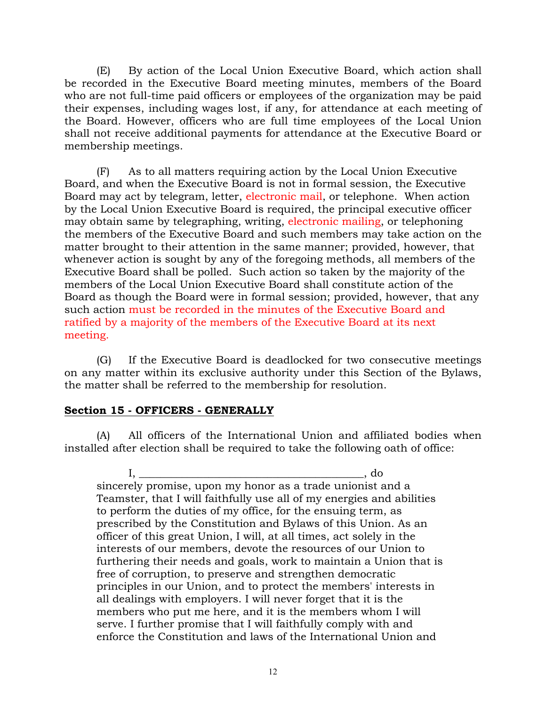(E) By action of the Local Union Executive Board, which action shall be recorded in the Executive Board meeting minutes, members of the Board who are not full-time paid officers or employees of the organization may be paid their expenses, including wages lost, if any, for attendance at each meeting of the Board. However, officers who are full time employees of the Local Union shall not receive additional payments for attendance at the Executive Board or membership meetings.

(F) As to all matters requiring action by the Local Union Executive Board, and when the Executive Board is not in formal session, the Executive Board may act by telegram, letter, electronic mail, or telephone. When action by the Local Union Executive Board is required, the principal executive officer may obtain same by telegraphing, writing, electronic mailing, or telephoning the members of the Executive Board and such members may take action on the matter brought to their attention in the same manner; provided, however, that whenever action is sought by any of the foregoing methods, all members of the Executive Board shall be polled. Such action so taken by the majority of the members of the Local Union Executive Board shall constitute action of the Board as though the Board were in formal session; provided, however, that any such action must be recorded in the minutes of the Executive Board and ratified by a majority of the members of the Executive Board at its next meeting.

(G) If the Executive Board is deadlocked for two consecutive meetings on any matter within its exclusive authority under this Section of the Bylaws, the matter shall be referred to the membership for resolution.

# **Section 15 - OFFICERS - GENERALLY**

(A) All officers of the International Union and affiliated bodies when installed after election shall be required to take the following oath of office:

I, \_\_\_\_\_\_\_\_\_\_\_\_\_\_\_\_\_\_\_\_\_\_\_\_\_\_\_\_\_\_\_\_\_\_\_\_\_\_\_\_\_\_, do sincerely promise, upon my honor as a trade unionist and a Teamster, that I will faithfully use all of my energies and abilities to perform the duties of my office, for the ensuing term, as prescribed by the Constitution and Bylaws of this Union. As an officer of this great Union, I will, at all times, act solely in the interests of our members, devote the resources of our Union to furthering their needs and goals, work to maintain a Union that is free of corruption, to preserve and strengthen democratic principles in our Union, and to protect the members' interests in all dealings with employers. I will never forget that it is the members who put me here, and it is the members whom I will serve. I further promise that I will faithfully comply with and enforce the Constitution and laws of the International Union and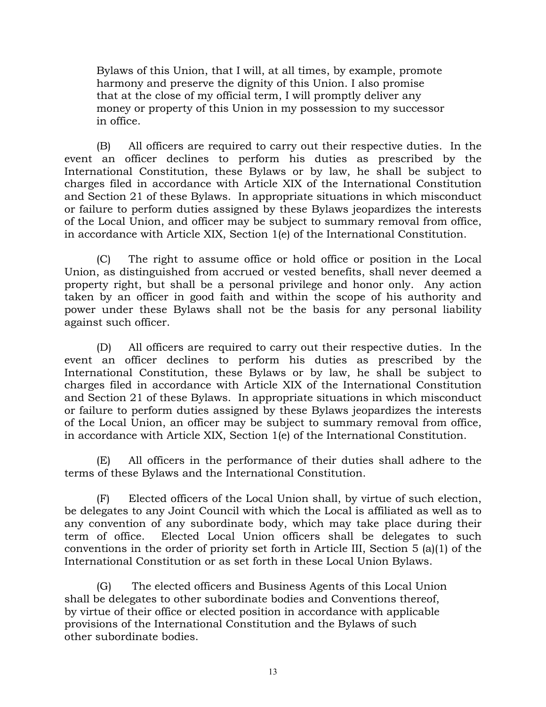Bylaws of this Union, that I will, at all times, by example, promote harmony and preserve the dignity of this Union. I also promise that at the close of my official term, I will promptly deliver any money or property of this Union in my possession to my successor in office.

(B) All officers are required to carry out their respective duties. In the event an officer declines to perform his duties as prescribed by the International Constitution, these Bylaws or by law, he shall be subject to charges filed in accordance with Article XIX of the International Constitution and Section 21 of these Bylaws. In appropriate situations in which misconduct or failure to perform duties assigned by these Bylaws jeopardizes the interests of the Local Union, and officer may be subject to summary removal from office, in accordance with Article XIX, Section 1(e) of the International Constitution.

(C) The right to assume office or hold office or position in the Local Union, as distinguished from accrued or vested benefits, shall never deemed a property right, but shall be a personal privilege and honor only. Any action taken by an officer in good faith and within the scope of his authority and power under these Bylaws shall not be the basis for any personal liability against such officer.

(D) All officers are required to carry out their respective duties. In the event an officer declines to perform his duties as prescribed by the International Constitution, these Bylaws or by law, he shall be subject to charges filed in accordance with Article XIX of the International Constitution and Section 21 of these Bylaws. In appropriate situations in which misconduct or failure to perform duties assigned by these Bylaws jeopardizes the interests of the Local Union, an officer may be subject to summary removal from office, in accordance with Article XIX, Section 1(e) of the International Constitution.

(E) All officers in the performance of their duties shall adhere to the terms of these Bylaws and the International Constitution.

(F) Elected officers of the Local Union shall, by virtue of such election, be delegates to any Joint Council with which the Local is affiliated as well as to any convention of any subordinate body, which may take place during their term of office. Elected Local Union officers shall be delegates to such conventions in the order of priority set forth in Article III, Section 5 (a)(1) of the International Constitution or as set forth in these Local Union Bylaws.

(G) The elected officers and Business Agents of this Local Union shall be delegates to other subordinate bodies and Conventions thereof, by virtue of their office or elected position in accordance with applicable provisions of the International Constitution and the Bylaws of such other subordinate bodies.

13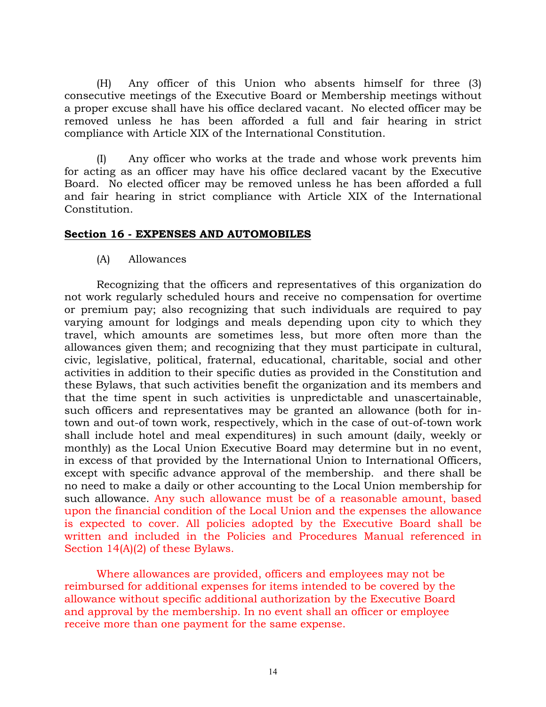(H) Any officer of this Union who absents himself for three (3) consecutive meetings of the Executive Board or Membership meetings without a proper excuse shall have his office declared vacant. No elected officer may be removed unless he has been afforded a full and fair hearing in strict compliance with Article XIX of the International Constitution.

(I) Any officer who works at the trade and whose work prevents him for acting as an officer may have his office declared vacant by the Executive Board. No elected officer may be removed unless he has been afforded a full and fair hearing in strict compliance with Article XIX of the International Constitution.

### **Section 16 - EXPENSES AND AUTOMOBILES**

### (A) Allowances

Recognizing that the officers and representatives of this organization do not work regularly scheduled hours and receive no compensation for overtime or premium pay; also recognizing that such individuals are required to pay varying amount for lodgings and meals depending upon city to which they travel, which amounts are sometimes less, but more often more than the allowances given them; and recognizing that they must participate in cultural, civic, legislative, political, fraternal, educational, charitable, social and other activities in addition to their specific duties as provided in the Constitution and these Bylaws, that such activities benefit the organization and its members and that the time spent in such activities is unpredictable and unascertainable, such officers and representatives may be granted an allowance (both for intown and out-of town work, respectively, which in the case of out-of-town work shall include hotel and meal expenditures) in such amount (daily, weekly or monthly) as the Local Union Executive Board may determine but in no event, in excess of that provided by the International Union to International Officers, except with specific advance approval of the membership. and there shall be no need to make a daily or other accounting to the Local Union membership for such allowance. Any such allowance must be of a reasonable amount, based upon the financial condition of the Local Union and the expenses the allowance is expected to cover. All policies adopted by the Executive Board shall be written and included in the Policies and Procedures Manual referenced in Section 14(A)(2) of these Bylaws.

Where allowances are provided, officers and employees may not be reimbursed for additional expenses for items intended to be covered by the allowance without specific additional authorization by the Executive Board and approval by the membership. In no event shall an officer or employee receive more than one payment for the same expense.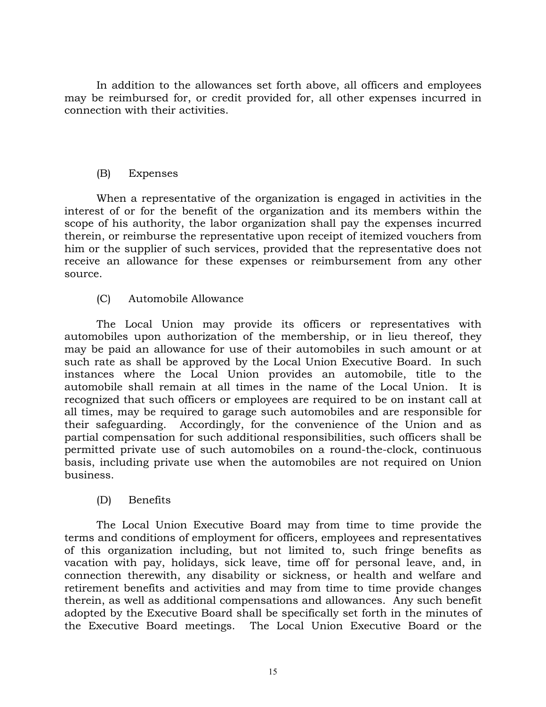In addition to the allowances set forth above, all officers and employees may be reimbursed for, or credit provided for, all other expenses incurred in connection with their activities.

# (B) Expenses

When a representative of the organization is engaged in activities in the interest of or for the benefit of the organization and its members within the scope of his authority, the labor organization shall pay the expenses incurred therein, or reimburse the representative upon receipt of itemized vouchers from him or the supplier of such services, provided that the representative does not receive an allowance for these expenses or reimbursement from any other source.

# (C) Automobile Allowance

The Local Union may provide its officers or representatives with automobiles upon authorization of the membership, or in lieu thereof, they may be paid an allowance for use of their automobiles in such amount or at such rate as shall be approved by the Local Union Executive Board. In such instances where the Local Union provides an automobile, title to the automobile shall remain at all times in the name of the Local Union. It is recognized that such officers or employees are required to be on instant call at all times, may be required to garage such automobiles and are responsible for their safeguarding. Accordingly, for the convenience of the Union and as partial compensation for such additional responsibilities, such officers shall be permitted private use of such automobiles on a round-the-clock, continuous basis, including private use when the automobiles are not required on Union business.

# (D) Benefits

The Local Union Executive Board may from time to time provide the terms and conditions of employment for officers, employees and representatives of this organization including, but not limited to, such fringe benefits as vacation with pay, holidays, sick leave, time off for personal leave, and, in connection therewith, any disability or sickness, or health and welfare and retirement benefits and activities and may from time to time provide changes therein, as well as additional compensations and allowances. Any such benefit adopted by the Executive Board shall be specifically set forth in the minutes of the Executive Board meetings. The Local Union Executive Board or the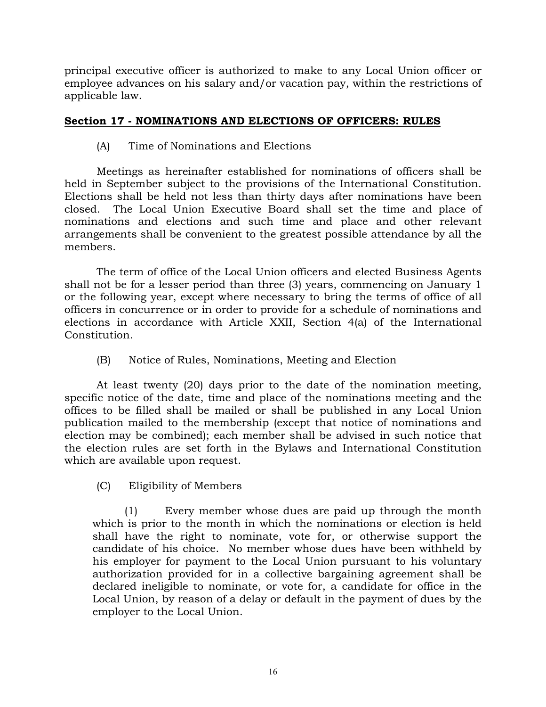principal executive officer is authorized to make to any Local Union officer or employee advances on his salary and/or vacation pay, within the restrictions of applicable law.

# **Section 17 - NOMINATIONS AND ELECTIONS OF OFFICERS: RULES**

# (A) Time of Nominations and Elections

Meetings as hereinafter established for nominations of officers shall be held in September subject to the provisions of the International Constitution. Elections shall be held not less than thirty days after nominations have been closed. The Local Union Executive Board shall set the time and place of nominations and elections and such time and place and other relevant arrangements shall be convenient to the greatest possible attendance by all the members.

The term of office of the Local Union officers and elected Business Agents shall not be for a lesser period than three (3) years, commencing on January 1 or the following year, except where necessary to bring the terms of office of all officers in concurrence or in order to provide for a schedule of nominations and elections in accordance with Article XXII, Section 4(a) of the International Constitution.

# (B) Notice of Rules, Nominations, Meeting and Election

At least twenty (20) days prior to the date of the nomination meeting, specific notice of the date, time and place of the nominations meeting and the offices to be filled shall be mailed or shall be published in any Local Union publication mailed to the membership (except that notice of nominations and election may be combined); each member shall be advised in such notice that the election rules are set forth in the Bylaws and International Constitution which are available upon request.

# (C) Eligibility of Members

(1) Every member whose dues are paid up through the month which is prior to the month in which the nominations or election is held shall have the right to nominate, vote for, or otherwise support the candidate of his choice. No member whose dues have been withheld by his employer for payment to the Local Union pursuant to his voluntary authorization provided for in a collective bargaining agreement shall be declared ineligible to nominate, or vote for, a candidate for office in the Local Union, by reason of a delay or default in the payment of dues by the employer to the Local Union.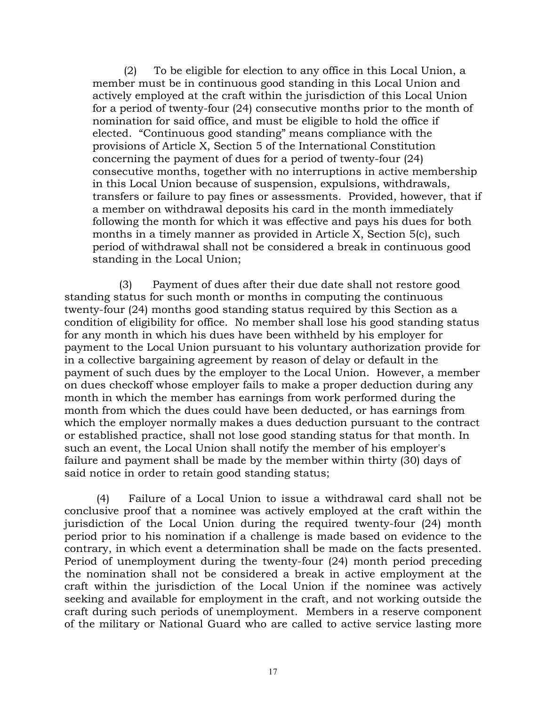(2) To be eligible for election to any office in this Local Union, a member must be in continuous good standing in this Local Union and actively employed at the craft within the jurisdiction of this Local Union for a period of twenty-four (24) consecutive months prior to the month of nomination for said office, and must be eligible to hold the office if elected. "Continuous good standing" means compliance with the provisions of Article X, Section 5 of the International Constitution concerning the payment of dues for a period of twenty-four (24) consecutive months, together with no interruptions in active membership in this Local Union because of suspension, expulsions, withdrawals, transfers or failure to pay fines or assessments. Provided, however, that if a member on withdrawal deposits his card in the month immediately following the month for which it was effective and pays his dues for both months in a timely manner as provided in Article X, Section 5(c), such period of withdrawal shall not be considered a break in continuous good standing in the Local Union;

 (3) Payment of dues after their due date shall not restore good standing status for such month or months in computing the continuous twenty-four (24) months good standing status required by this Section as a condition of eligibility for office. No member shall lose his good standing status for any month in which his dues have been withheld by his employer for payment to the Local Union pursuant to his voluntary authorization provide for in a collective bargaining agreement by reason of delay or default in the payment of such dues by the employer to the Local Union. However, a member on dues checkoff whose employer fails to make a proper deduction during any month in which the member has earnings from work performed during the month from which the dues could have been deducted, or has earnings from which the employer normally makes a dues deduction pursuant to the contract or established practice, shall not lose good standing status for that month. In such an event, the Local Union shall notify the member of his employer's failure and payment shall be made by the member within thirty (30) days of said notice in order to retain good standing status;

(4) Failure of a Local Union to issue a withdrawal card shall not be conclusive proof that a nominee was actively employed at the craft within the jurisdiction of the Local Union during the required twenty-four (24) month period prior to his nomination if a challenge is made based on evidence to the contrary, in which event a determination shall be made on the facts presented. Period of unemployment during the twenty-four (24) month period preceding the nomination shall not be considered a break in active employment at the craft within the jurisdiction of the Local Union if the nominee was actively seeking and available for employment in the craft, and not working outside the craft during such periods of unemployment. Members in a reserve component of the military or National Guard who are called to active service lasting more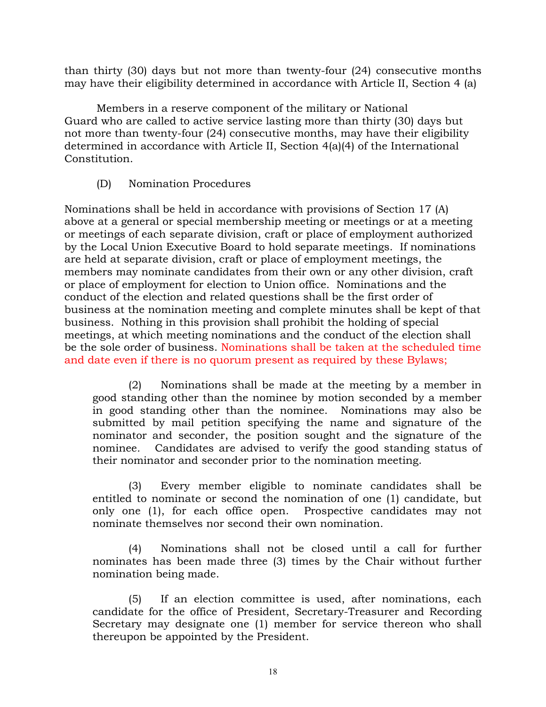than thirty (30) days but not more than twenty-four (24) consecutive months may have their eligibility determined in accordance with Article II, Section 4 (a)

Members in a reserve component of the military or National Guard who are called to active service lasting more than thirty (30) days but not more than twenty-four (24) consecutive months, may have their eligibility determined in accordance with Article II, Section 4(a)(4) of the International Constitution.

# (D) Nomination Procedures

Nominations shall be held in accordance with provisions of Section 17 (A) above at a general or special membership meeting or meetings or at a meeting or meetings of each separate division, craft or place of employment authorized by the Local Union Executive Board to hold separate meetings. If nominations are held at separate division, craft or place of employment meetings, the members may nominate candidates from their own or any other division, craft or place of employment for election to Union office. Nominations and the conduct of the election and related questions shall be the first order of business at the nomination meeting and complete minutes shall be kept of that business. Nothing in this provision shall prohibit the holding of special meetings, at which meeting nominations and the conduct of the election shall be the sole order of business. Nominations shall be taken at the scheduled time and date even if there is no quorum present as required by these Bylaws;

(2) Nominations shall be made at the meeting by a member in good standing other than the nominee by motion seconded by a member in good standing other than the nominee. Nominations may also be submitted by mail petition specifying the name and signature of the nominator and seconder, the position sought and the signature of the nominee*.* Candidates are advised to verify the good standing status of their nominator and seconder prior to the nomination meeting.

(3) Every member eligible to nominate candidates shall be entitled to nominate or second the nomination of one (1) candidate, but only one (1), for each office open. Prospective candidates may not nominate themselves nor second their own nomination.

(4) Nominations shall not be closed until a call for further nominates has been made three (3) times by the Chair without further nomination being made.

(5) If an election committee is used, after nominations, each candidate for the office of President, Secretary-Treasurer and Recording Secretary may designate one (1) member for service thereon who shall thereupon be appointed by the President.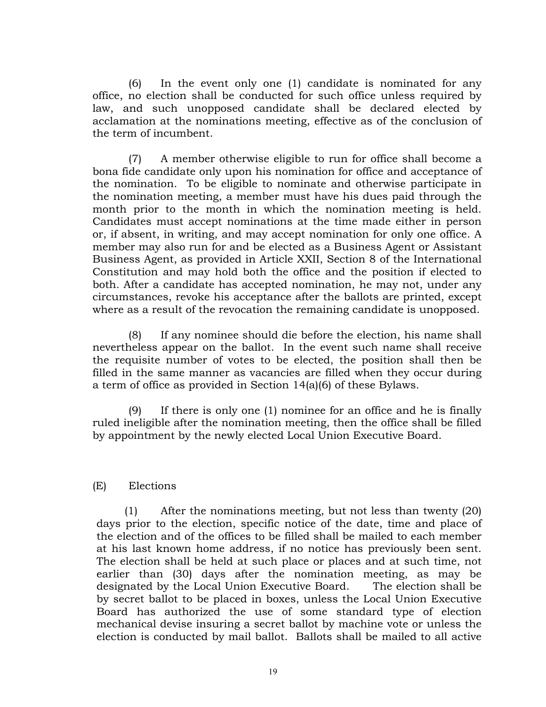(6) In the event only one (1) candidate is nominated for any office, no election shall be conducted for such office unless required by law, and such unopposed candidate shall be declared elected by acclamation at the nominations meeting, effective as of the conclusion of the term of incumbent.

(7) A member otherwise eligible to run for office shall become a bona fide candidate only upon his nomination for office and acceptance of the nomination. To be eligible to nominate and otherwise participate in the nomination meeting, a member must have his dues paid through the month prior to the month in which the nomination meeting is held. Candidates must accept nominations at the time made either in person or, if absent, in writing, and may accept nomination for only one office. A member may also run for and be elected as a Business Agent or Assistant Business Agent, as provided in Article XXII, Section 8 of the International Constitution and may hold both the office and the position if elected to both*.* After a candidate has accepted nomination, he may not, under any circumstances, revoke his acceptance after the ballots are printed, except where as a result of the revocation the remaining candidate is unopposed.

(8) If any nominee should die before the election, his name shall nevertheless appear on the ballot. In the event such name shall receive the requisite number of votes to be elected, the position shall then be filled in the same manner as vacancies are filled when they occur during a term of office as provided in Section 14(a)(6) of these Bylaws.

(9) If there is only one (1) nominee for an office and he is finally ruled ineligible after the nomination meeting, then the office shall be filled by appointment by the newly elected Local Union Executive Board.

# (E) Elections

(1) After the nominations meeting, but not less than twenty (20) days prior to the election, specific notice of the date, time and place of the election and of the offices to be filled shall be mailed to each member at his last known home address, if no notice has previously been sent. The election shall be held at such place or places and at such time, not earlier than (30) days after the nomination meeting, as may be designated by the Local Union Executive Board. The election shall be by secret ballot to be placed in boxes, unless the Local Union Executive Board has authorized the use of some standard type of election mechanical devise insuring a secret ballot by machine vote or unless the election is conducted by mail ballot. Ballots shall be mailed to all active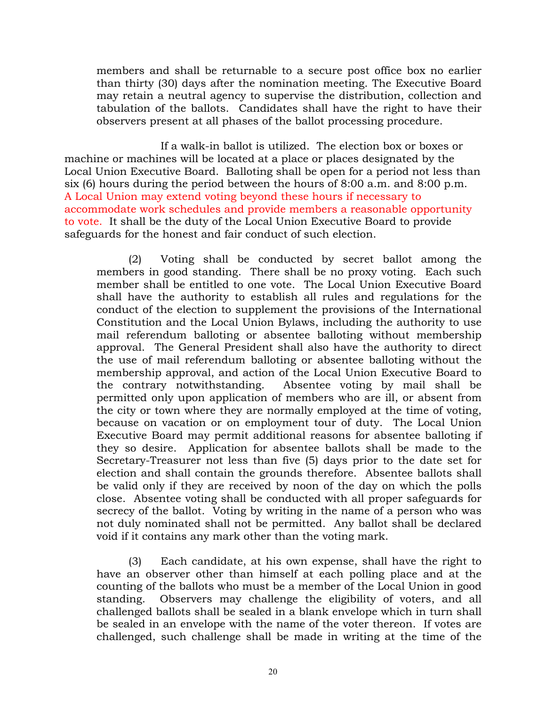members and shall be returnable to a secure post office box no earlier than thirty (30) days after the nomination meeting. The Executive Board may retain a neutral agency to supervise the distribution, collection and tabulation of the ballots. Candidates shall have the right to have their observers present at all phases of the ballot processing procedure.

If a walk-in ballot is utilized. The election box or boxes or machine or machines will be located at a place or places designated by the Local Union Executive Board. Balloting shall be open for a period not less than six (6) hours during the period between the hours of 8:00 a.m. and 8:00 p.m. A Local Union may extend voting beyond these hours if necessary to accommodate work schedules and provide members a reasonable opportunity to vote. It shall be the duty of the Local Union Executive Board to provide safeguards for the honest and fair conduct of such election.

(2) Voting shall be conducted by secret ballot among the members in good standing. There shall be no proxy voting. Each such member shall be entitled to one vote. The Local Union Executive Board shall have the authority to establish all rules and regulations for the conduct of the election to supplement the provisions of the International Constitution and the Local Union Bylaws, including the authority to use mail referendum balloting or absentee balloting without membership approval. The General President shall also have the authority to direct the use of mail referendum balloting or absentee balloting without the membership approval, and action of the Local Union Executive Board to the contrary notwithstanding. Absentee voting by mail shall be permitted only upon application of members who are ill, or absent from the city or town where they are normally employed at the time of voting, because on vacation or on employment tour of duty. The Local Union Executive Board may permit additional reasons for absentee balloting if they so desire. Application for absentee ballots shall be made to the Secretary-Treasurer not less than five (5) days prior to the date set for election and shall contain the grounds therefore. Absentee ballots shall be valid only if they are received by noon of the day on which the polls close. Absentee voting shall be conducted with all proper safeguards for secrecy of the ballot. Voting by writing in the name of a person who was not duly nominated shall not be permitted. Any ballot shall be declared void if it contains any mark other than the voting mark.

(3) Each candidate, at his own expense, shall have the right to have an observer other than himself at each polling place and at the counting of the ballots who must be a member of the Local Union in good standing. Observers may challenge the eligibility of voters, and all challenged ballots shall be sealed in a blank envelope which in turn shall be sealed in an envelope with the name of the voter thereon. If votes are challenged, such challenge shall be made in writing at the time of the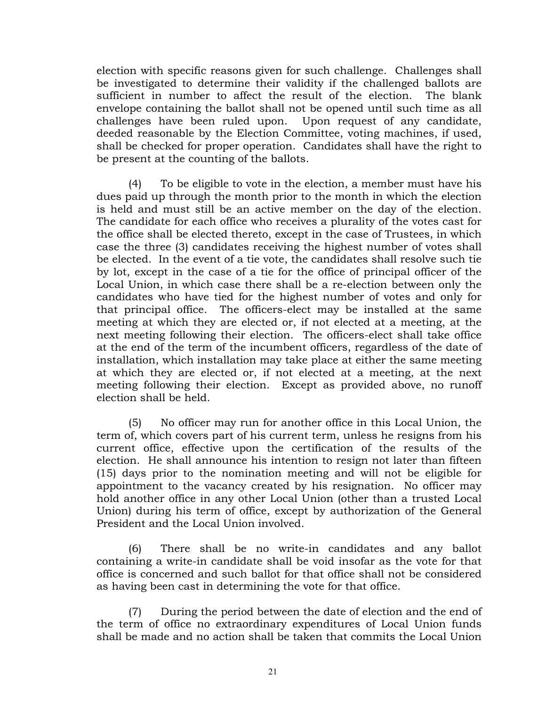election with specific reasons given for such challenge. Challenges shall be investigated to determine their validity if the challenged ballots are sufficient in number to affect the result of the election. The blank envelope containing the ballot shall not be opened until such time as all challenges have been ruled upon. Upon request of any candidate, deeded reasonable by the Election Committee, voting machines, if used, shall be checked for proper operation. Candidates shall have the right to be present at the counting of the ballots.

(4) To be eligible to vote in the election, a member must have his dues paid up through the month prior to the month in which the election is held and must still be an active member on the day of the election. The candidate for each office who receives a plurality of the votes cast for the office shall be elected thereto, except in the case of Trustees, in which case the three (3) candidates receiving the highest number of votes shall be elected. In the event of a tie vote, the candidates shall resolve such tie by lot, except in the case of a tie for the office of principal officer of the Local Union, in which case there shall be a re-election between only the candidates who have tied for the highest number of votes and only for that principal office. The officers-elect may be installed at the same meeting at which they are elected or, if not elected at a meeting, at the next meeting following their election. The officers-elect shall take office at the end of the term of the incumbent officers, regardless of the date of installation, which installation may take place at either the same meeting at which they are elected or, if not elected at a meeting, at the next meeting following their election. Except as provided above, no runoff election shall be held.

(5) No officer may run for another office in this Local Union, the term of, which covers part of his current term, unless he resigns from his current office, effective upon the certification of the results of the election. He shall announce his intention to resign not later than fifteen (15) days prior to the nomination meeting and will not be eligible for appointment to the vacancy created by his resignation. No officer may hold another office in any other Local Union (other than a trusted Local Union) during his term of office, except by authorization of the General President and the Local Union involved.

(6) There shall be no write-in candidates and any ballot containing a write-in candidate shall be void insofar as the vote for that office is concerned and such ballot for that office shall not be considered as having been cast in determining the vote for that office.

(7) During the period between the date of election and the end of the term of office no extraordinary expenditures of Local Union funds shall be made and no action shall be taken that commits the Local Union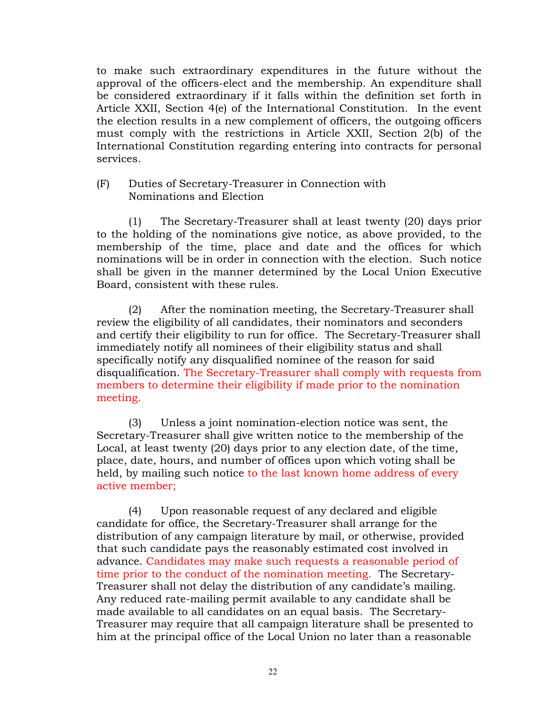to make such extraordinary expenditures in the future without the approval of the officers-elect and the membership. An expenditure shall be considered extraordinary if it falls within the definition set forth in Article XXII, Section 4(e) of the International Constitution. In the event the election results in a new complement of officers, the outgoing officers must comply with the restrictions in Article XXII, Section 2(b) of the International Constitution regarding entering into contracts for personal services.

### (F) Duties of Secretary-Treasurer in Connection with Nominations and Election

(1) The Secretary-Treasurer shall at least twenty (20) days prior to the holding of the nominations give notice, as above provided, to the membership of the time, place and date and the offices for which nominations will be in order in connection with the election. Such notice shall be given in the manner determined by the Local Union Executive Board, consistent with these rules.

(2) After the nomination meeting, the Secretary-Treasurer shall review the eligibility of all candidates, their nominators and seconders and certify their eligibility to run for office. The Secretary-Treasurer shall immediately notify all nominees of their eligibility status and shall specifically notify any disqualified nominee of the reason for said disqualification. The Secretary-Treasurer shall comply with requests from members to determine their eligibility if made prior to the nomination meeting.

(3) Unless a joint nomination-election notice was sent, the Secretary-Treasurer shall give written notice to the membership of the Local, at least twenty (20) days prior to any election date, of the time, place, date, hours, and number of offices upon which voting shall be held, by mailing such notice to the last known home address of every active member;

(4) Upon reasonable request of any declared and eligible candidate for office, the Secretary-Treasurer shall arrange for the distribution of any campaign literature by mail, or otherwise, provided that such candidate pays the reasonably estimated cost involved in advance. Candidates may make such requests a reasonable period of time prior to the conduct of the nomination meeting. The Secretary-Treasurer shall not delay the distribution of any candidate's mailing. Any reduced rate-mailing permit available to any candidate shall be made available to all candidates on an equal basis. The Secretary-Treasurer may require that all campaign literature shall be presented to him at the principal office of the Local Union no later than a reasonable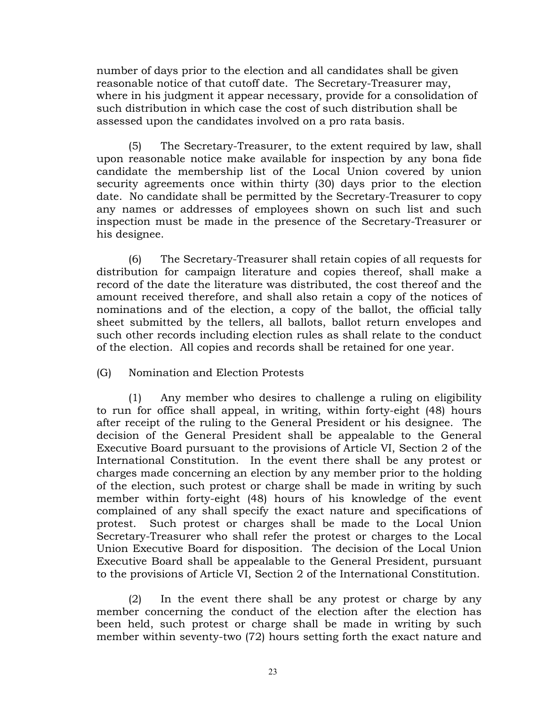number of days prior to the election and all candidates shall be given reasonable notice of that cutoff date. The Secretary-Treasurer may, where in his judgment it appear necessary, provide for a consolidation of such distribution in which case the cost of such distribution shall be assessed upon the candidates involved on a pro rata basis.

(5) The Secretary-Treasurer, to the extent required by law, shall upon reasonable notice make available for inspection by any bona fide candidate the membership list of the Local Union covered by union security agreements once within thirty (30) days prior to the election date. No candidate shall be permitted by the Secretary-Treasurer to copy any names or addresses of employees shown on such list and such inspection must be made in the presence of the Secretary-Treasurer or his designee.

(6) The Secretary-Treasurer shall retain copies of all requests for distribution for campaign literature and copies thereof, shall make a record of the date the literature was distributed, the cost thereof and the amount received therefore, and shall also retain a copy of the notices of nominations and of the election, a copy of the ballot, the official tally sheet submitted by the tellers, all ballots, ballot return envelopes and such other records including election rules as shall relate to the conduct of the election. All copies and records shall be retained for one year.

# (G) Nomination and Election Protests

(1) Any member who desires to challenge a ruling on eligibility to run for office shall appeal, in writing, within forty-eight (48) hours after receipt of the ruling to the General President or his designee. The decision of the General President shall be appealable to the General Executive Board pursuant to the provisions of Article VI, Section 2 of the International Constitution. In the event there shall be any protest or charges made concerning an election by any member prior to the holding of the election, such protest or charge shall be made in writing by such member within forty-eight (48) hours of his knowledge of the event complained of any shall specify the exact nature and specifications of protest. Such protest or charges shall be made to the Local Union Secretary-Treasurer who shall refer the protest or charges to the Local Union Executive Board for disposition. The decision of the Local Union Executive Board shall be appealable to the General President, pursuant to the provisions of Article VI, Section 2 of the International Constitution.

(2) In the event there shall be any protest or charge by any member concerning the conduct of the election after the election has been held, such protest or charge shall be made in writing by such member within seventy-two (72) hours setting forth the exact nature and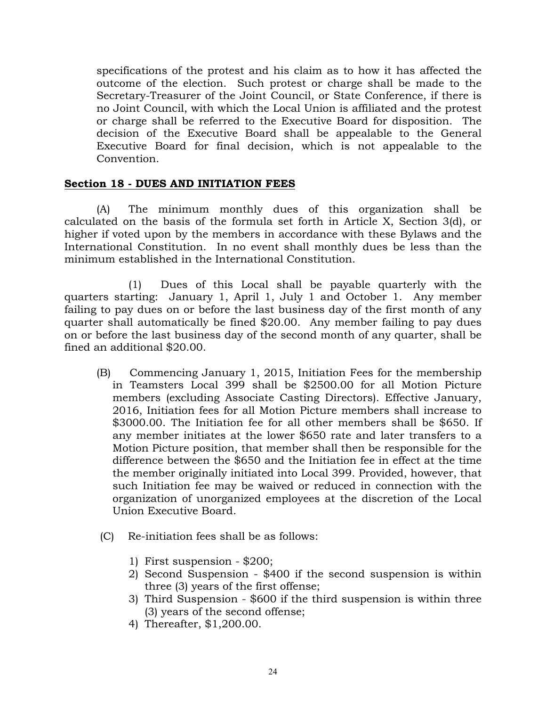specifications of the protest and his claim as to how it has affected the outcome of the election. Such protest or charge shall be made to the Secretary-Treasurer of the Joint Council, or State Conference, if there is no Joint Council, with which the Local Union is affiliated and the protest or charge shall be referred to the Executive Board for disposition. The decision of the Executive Board shall be appealable to the General Executive Board for final decision, which is not appealable to the Convention.

### **Section 18 - DUES AND INITIATION FEES**

(A) The minimum monthly dues of this organization shall be calculated on the basis of the formula set forth in Article X, Section 3(d), or higher if voted upon by the members in accordance with these Bylaws and the International Constitution. In no event shall monthly dues be less than the minimum established in the International Constitution.

(1) Dues of this Local shall be payable quarterly with the quarters starting: January 1, April 1, July 1 and October 1. Any member failing to pay dues on or before the last business day of the first month of any quarter shall automatically be fined \$20.00. Any member failing to pay dues on or before the last business day of the second month of any quarter, shall be fined an additional \$20.00.

- (B) Commencing January 1, 2015, Initiation Fees for the membership in Teamsters Local 399 shall be \$2500.00 for all Motion Picture members (excluding Associate Casting Directors). Effective January, 2016, Initiation fees for all Motion Picture members shall increase to \$3000.00. The Initiation fee for all other members shall be \$650. If any member initiates at the lower \$650 rate and later transfers to a Motion Picture position, that member shall then be responsible for the difference between the \$650 and the Initiation fee in effect at the time the member originally initiated into Local 399. Provided, however, that such Initiation fee may be waived or reduced in connection with the organization of unorganized employees at the discretion of the Local Union Executive Board.
- (C) Re-initiation fees shall be as follows:
	- 1) First suspension \$200;
	- 2) Second Suspension \$400 if the second suspension is within three (3) years of the first offense;
	- 3) Third Suspension \$600 if the third suspension is within three (3) years of the second offense;
	- 4) Thereafter, \$1,200.00.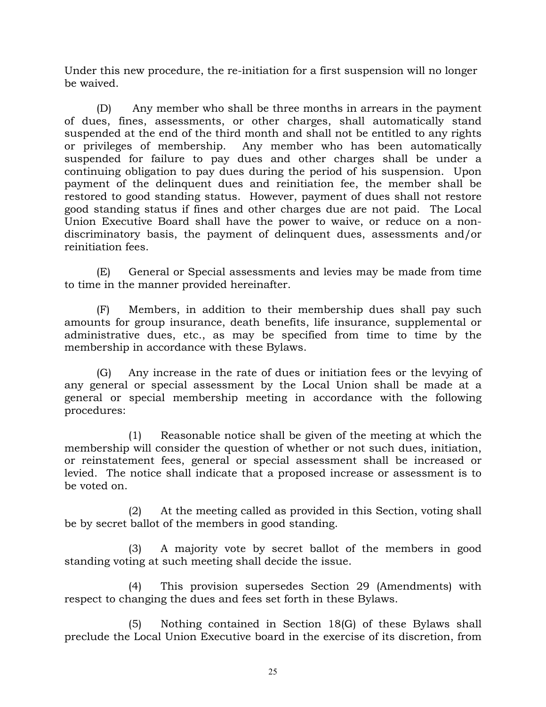Under this new procedure, the re-initiation for a first suspension will no longer be waived.

(D) Any member who shall be three months in arrears in the payment of dues, fines, assessments, or other charges, shall automatically stand suspended at the end of the third month and shall not be entitled to any rights or privileges of membership. Any member who has been automatically suspended for failure to pay dues and other charges shall be under a continuing obligation to pay dues during the period of his suspension. Upon payment of the delinquent dues and reinitiation fee, the member shall be restored to good standing status. However, payment of dues shall not restore good standing status if fines and other charges due are not paid. The Local Union Executive Board shall have the power to waive, or reduce on a nondiscriminatory basis, the payment of delinquent dues, assessments and/or reinitiation fees.

(E) General or Special assessments and levies may be made from time to time in the manner provided hereinafter.

(F) Members, in addition to their membership dues shall pay such amounts for group insurance, death benefits, life insurance, supplemental or administrative dues, etc., as may be specified from time to time by the membership in accordance with these Bylaws.

(G) Any increase in the rate of dues or initiation fees or the levying of any general or special assessment by the Local Union shall be made at a general or special membership meeting in accordance with the following procedures:

(1) Reasonable notice shall be given of the meeting at which the membership will consider the question of whether or not such dues, initiation, or reinstatement fees, general or special assessment shall be increased or levied. The notice shall indicate that a proposed increase or assessment is to be voted on.

(2) At the meeting called as provided in this Section, voting shall be by secret ballot of the members in good standing.

(3) A majority vote by secret ballot of the members in good standing voting at such meeting shall decide the issue.

(4) This provision supersedes Section 29 (Amendments) with respect to changing the dues and fees set forth in these Bylaws.

(5) Nothing contained in Section 18(G) of these Bylaws shall preclude the Local Union Executive board in the exercise of its discretion, from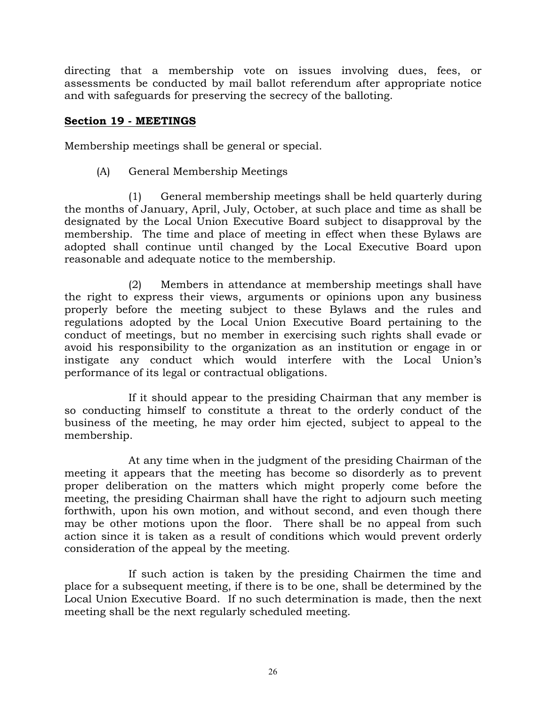directing that a membership vote on issues involving dues, fees, or assessments be conducted by mail ballot referendum after appropriate notice and with safeguards for preserving the secrecy of the balloting.

### **Section 19 - MEETINGS**

Membership meetings shall be general or special.

(A) General Membership Meetings

(1) General membership meetings shall be held quarterly during the months of January, April, July, October, at such place and time as shall be designated by the Local Union Executive Board subject to disapproval by the membership. The time and place of meeting in effect when these Bylaws are adopted shall continue until changed by the Local Executive Board upon reasonable and adequate notice to the membership.

(2) Members in attendance at membership meetings shall have the right to express their views, arguments or opinions upon any business properly before the meeting subject to these Bylaws and the rules and regulations adopted by the Local Union Executive Board pertaining to the conduct of meetings, but no member in exercising such rights shall evade or avoid his responsibility to the organization as an institution or engage in or instigate any conduct which would interfere with the Local Union's performance of its legal or contractual obligations.

If it should appear to the presiding Chairman that any member is so conducting himself to constitute a threat to the orderly conduct of the business of the meeting, he may order him ejected, subject to appeal to the membership.

At any time when in the judgment of the presiding Chairman of the meeting it appears that the meeting has become so disorderly as to prevent proper deliberation on the matters which might properly come before the meeting, the presiding Chairman shall have the right to adjourn such meeting forthwith, upon his own motion, and without second, and even though there may be other motions upon the floor. There shall be no appeal from such action since it is taken as a result of conditions which would prevent orderly consideration of the appeal by the meeting.

If such action is taken by the presiding Chairmen the time and place for a subsequent meeting, if there is to be one, shall be determined by the Local Union Executive Board. If no such determination is made, then the next meeting shall be the next regularly scheduled meeting.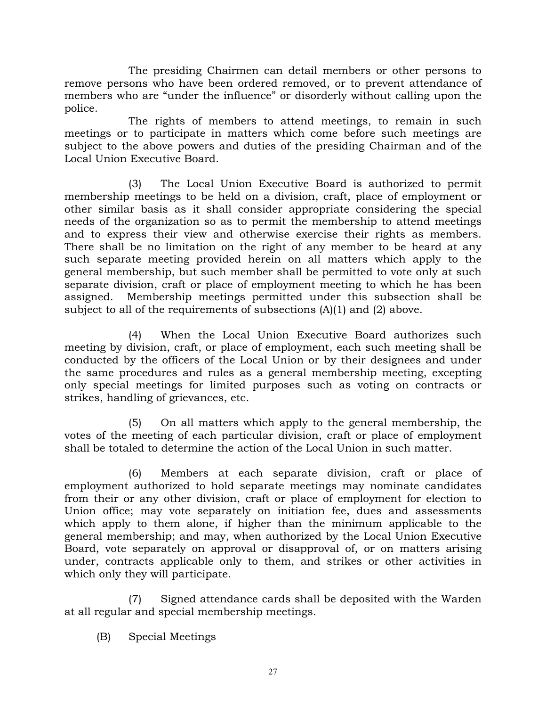The presiding Chairmen can detail members or other persons to remove persons who have been ordered removed, or to prevent attendance of members who are "under the influence" or disorderly without calling upon the police.

The rights of members to attend meetings, to remain in such meetings or to participate in matters which come before such meetings are subject to the above powers and duties of the presiding Chairman and of the Local Union Executive Board.

(3) The Local Union Executive Board is authorized to permit membership meetings to be held on a division, craft, place of employment or other similar basis as it shall consider appropriate considering the special needs of the organization so as to permit the membership to attend meetings and to express their view and otherwise exercise their rights as members. There shall be no limitation on the right of any member to be heard at any such separate meeting provided herein on all matters which apply to the general membership, but such member shall be permitted to vote only at such separate division, craft or place of employment meeting to which he has been assigned. Membership meetings permitted under this subsection shall be subject to all of the requirements of subsections (A)(1) and (2) above.

(4) When the Local Union Executive Board authorizes such meeting by division, craft, or place of employment, each such meeting shall be conducted by the officers of the Local Union or by their designees and under the same procedures and rules as a general membership meeting, excepting only special meetings for limited purposes such as voting on contracts or strikes, handling of grievances, etc.

(5) On all matters which apply to the general membership, the votes of the meeting of each particular division, craft or place of employment shall be totaled to determine the action of the Local Union in such matter.

(6) Members at each separate division, craft or place of employment authorized to hold separate meetings may nominate candidates from their or any other division, craft or place of employment for election to Union office; may vote separately on initiation fee, dues and assessments which apply to them alone, if higher than the minimum applicable to the general membership; and may, when authorized by the Local Union Executive Board, vote separately on approval or disapproval of, or on matters arising under, contracts applicable only to them, and strikes or other activities in which only they will participate.

(7) Signed attendance cards shall be deposited with the Warden at all regular and special membership meetings.

(B) Special Meetings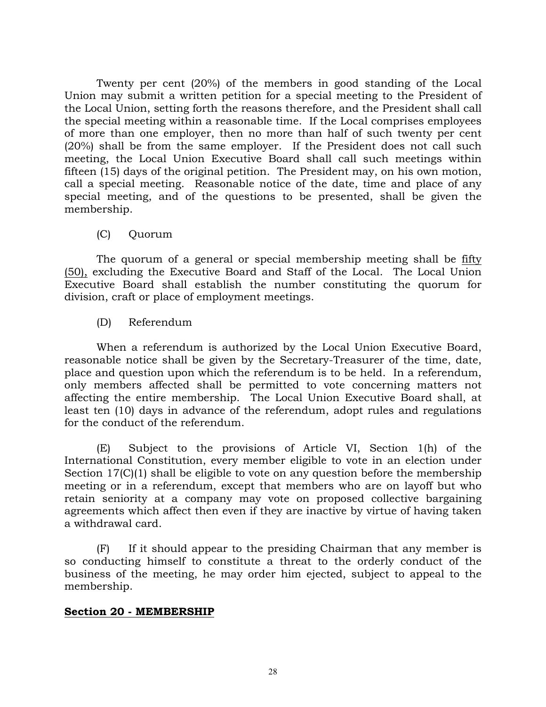Twenty per cent (20%) of the members in good standing of the Local Union may submit a written petition for a special meeting to the President of the Local Union, setting forth the reasons therefore, and the President shall call the special meeting within a reasonable time. If the Local comprises employees of more than one employer, then no more than half of such twenty per cent (20%) shall be from the same employer. If the President does not call such meeting, the Local Union Executive Board shall call such meetings within fifteen (15) days of the original petition. The President may, on his own motion, call a special meeting. Reasonable notice of the date, time and place of any special meeting, and of the questions to be presented, shall be given the membership.

(C) Quorum

The quorum of a general or special membership meeting shall be fifty (50), excluding the Executive Board and Staff of the Local. The Local Union Executive Board shall establish the number constituting the quorum for division, craft or place of employment meetings.

(D) Referendum

When a referendum is authorized by the Local Union Executive Board, reasonable notice shall be given by the Secretary-Treasurer of the time, date, place and question upon which the referendum is to be held. In a referendum, only members affected shall be permitted to vote concerning matters not affecting the entire membership. The Local Union Executive Board shall, at least ten (10) days in advance of the referendum, adopt rules and regulations for the conduct of the referendum.

(E) Subject to the provisions of Article VI, Section 1(h) of the International Constitution, every member eligible to vote in an election under Section 17(C)(1) shall be eligible to vote on any question before the membership meeting or in a referendum, except that members who are on layoff but who retain seniority at a company may vote on proposed collective bargaining agreements which affect then even if they are inactive by virtue of having taken a withdrawal card.

(F) If it should appear to the presiding Chairman that any member is so conducting himself to constitute a threat to the orderly conduct of the business of the meeting, he may order him ejected, subject to appeal to the membership.

# **Section 20 - MEMBERSHIP**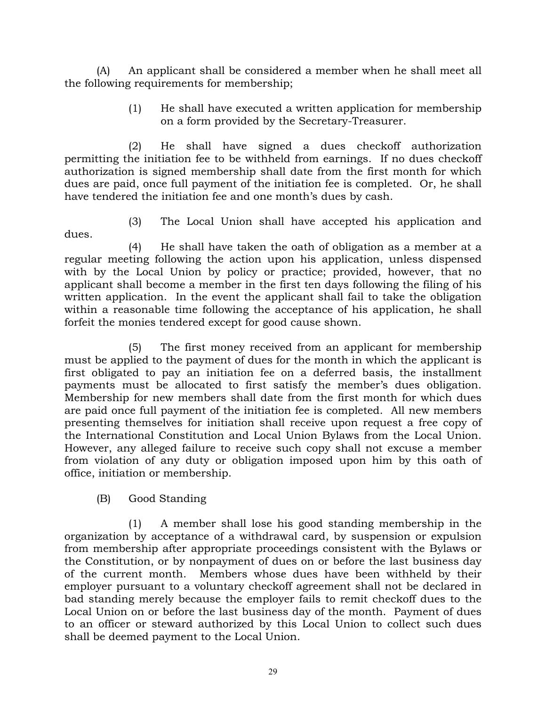(A) An applicant shall be considered a member when he shall meet all the following requirements for membership;

> (1) He shall have executed a written application for membership on a form provided by the Secretary-Treasurer.

(2) He shall have signed a dues checkoff authorization permitting the initiation fee to be withheld from earnings. If no dues checkoff authorization is signed membership shall date from the first month for which dues are paid, once full payment of the initiation fee is completed. Or, he shall have tendered the initiation fee and one month's dues by cash.

dues.

(3) The Local Union shall have accepted his application and

(4) He shall have taken the oath of obligation as a member at a regular meeting following the action upon his application, unless dispensed with by the Local Union by policy or practice; provided, however, that no applicant shall become a member in the first ten days following the filing of his written application. In the event the applicant shall fail to take the obligation within a reasonable time following the acceptance of his application, he shall forfeit the monies tendered except for good cause shown.

(5) The first money received from an applicant for membership must be applied to the payment of dues for the month in which the applicant is first obligated to pay an initiation fee on a deferred basis, the installment payments must be allocated to first satisfy the member's dues obligation. Membership for new members shall date from the first month for which dues are paid once full payment of the initiation fee is completed. All new members presenting themselves for initiation shall receive upon request a free copy of the International Constitution and Local Union Bylaws from the Local Union. However, any alleged failure to receive such copy shall not excuse a member from violation of any duty or obligation imposed upon him by this oath of office, initiation or membership.

(B) Good Standing

(1) A member shall lose his good standing membership in the organization by acceptance of a withdrawal card, by suspension or expulsion from membership after appropriate proceedings consistent with the Bylaws or the Constitution, or by nonpayment of dues on or before the last business day of the current month. Members whose dues have been withheld by their employer pursuant to a voluntary checkoff agreement shall not be declared in bad standing merely because the employer fails to remit checkoff dues to the Local Union on or before the last business day of the month. Payment of dues to an officer or steward authorized by this Local Union to collect such dues shall be deemed payment to the Local Union.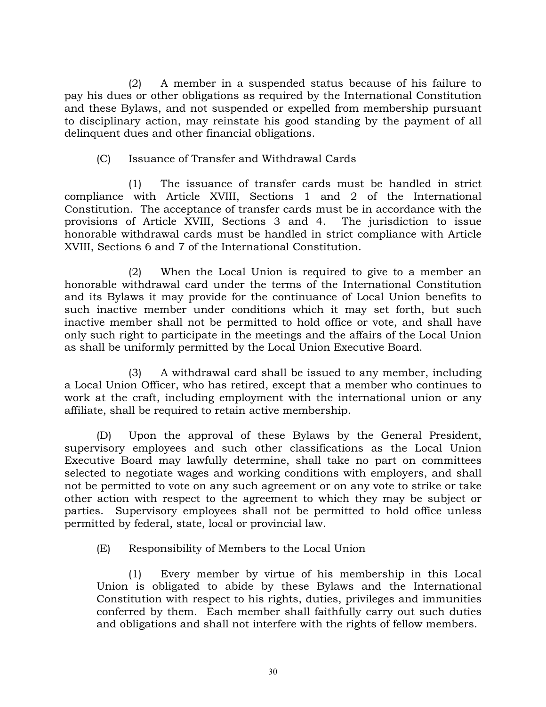(2) A member in a suspended status because of his failure to pay his dues or other obligations as required by the International Constitution and these Bylaws, and not suspended or expelled from membership pursuant to disciplinary action, may reinstate his good standing by the payment of all delinquent dues and other financial obligations.

# (C) Issuance of Transfer and Withdrawal Cards

(1) The issuance of transfer cards must be handled in strict compliance with Article XVIII, Sections 1 and 2 of the International Constitution. The acceptance of transfer cards must be in accordance with the provisions of Article XVIII, Sections 3 and 4. The jurisdiction to issue honorable withdrawal cards must be handled in strict compliance with Article XVIII, Sections 6 and 7 of the International Constitution.

(2) When the Local Union is required to give to a member an honorable withdrawal card under the terms of the International Constitution and its Bylaws it may provide for the continuance of Local Union benefits to such inactive member under conditions which it may set forth, but such inactive member shall not be permitted to hold office or vote, and shall have only such right to participate in the meetings and the affairs of the Local Union as shall be uniformly permitted by the Local Union Executive Board.

(3) A withdrawal card shall be issued to any member, including a Local Union Officer, who has retired, except that a member who continues to work at the craft, including employment with the international union or any affiliate, shall be required to retain active membership.

(D) Upon the approval of these Bylaws by the General President, supervisory employees and such other classifications as the Local Union Executive Board may lawfully determine, shall take no part on committees selected to negotiate wages and working conditions with employers, and shall not be permitted to vote on any such agreement or on any vote to strike or take other action with respect to the agreement to which they may be subject or parties. Supervisory employees shall not be permitted to hold office unless permitted by federal, state, local or provincial law.

(E) Responsibility of Members to the Local Union

(1) Every member by virtue of his membership in this Local Union is obligated to abide by these Bylaws and the International Constitution with respect to his rights, duties, privileges and immunities conferred by them. Each member shall faithfully carry out such duties and obligations and shall not interfere with the rights of fellow members.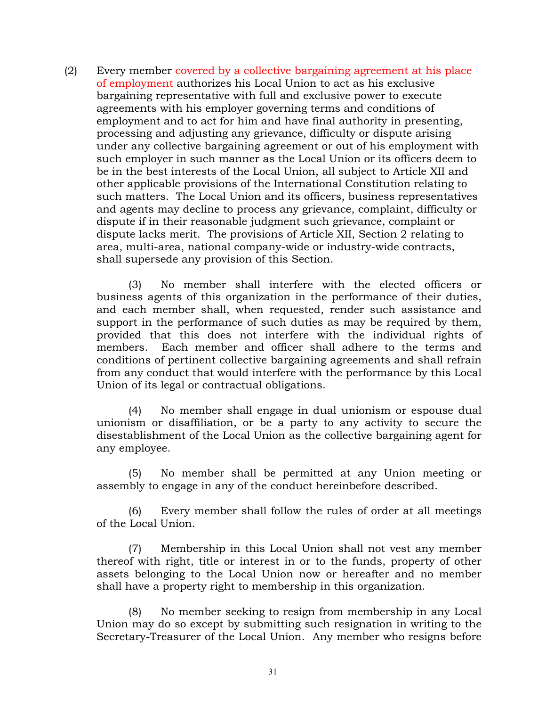(2) Every member covered by a collective bargaining agreement at his place of employment authorizes his Local Union to act as his exclusive bargaining representative with full and exclusive power to execute agreements with his employer governing terms and conditions of employment and to act for him and have final authority in presenting, processing and adjusting any grievance, difficulty or dispute arising under any collective bargaining agreement or out of his employment with such employer in such manner as the Local Union or its officers deem to be in the best interests of the Local Union, all subject to Article XII and other applicable provisions of the International Constitution relating to such matters. The Local Union and its officers, business representatives and agents may decline to process any grievance, complaint, difficulty or dispute if in their reasonable judgment such grievance, complaint or dispute lacks merit. The provisions of Article XII, Section 2 relating to area, multi-area, national company-wide or industry-wide contracts, shall supersede any provision of this Section.

(3) No member shall interfere with the elected officers or business agents of this organization in the performance of their duties, and each member shall, when requested, render such assistance and support in the performance of such duties as may be required by them, provided that this does not interfere with the individual rights of members. Each member and officer shall adhere to the terms and conditions of pertinent collective bargaining agreements and shall refrain from any conduct that would interfere with the performance by this Local Union of its legal or contractual obligations.

(4) No member shall engage in dual unionism or espouse dual unionism or disaffiliation, or be a party to any activity to secure the disestablishment of the Local Union as the collective bargaining agent for any employee.

(5) No member shall be permitted at any Union meeting or assembly to engage in any of the conduct hereinbefore described.

(6) Every member shall follow the rules of order at all meetings of the Local Union.

(7) Membership in this Local Union shall not vest any member thereof with right, title or interest in or to the funds, property of other assets belonging to the Local Union now or hereafter and no member shall have a property right to membership in this organization.

(8) No member seeking to resign from membership in any Local Union may do so except by submitting such resignation in writing to the Secretary-Treasurer of the Local Union. Any member who resigns before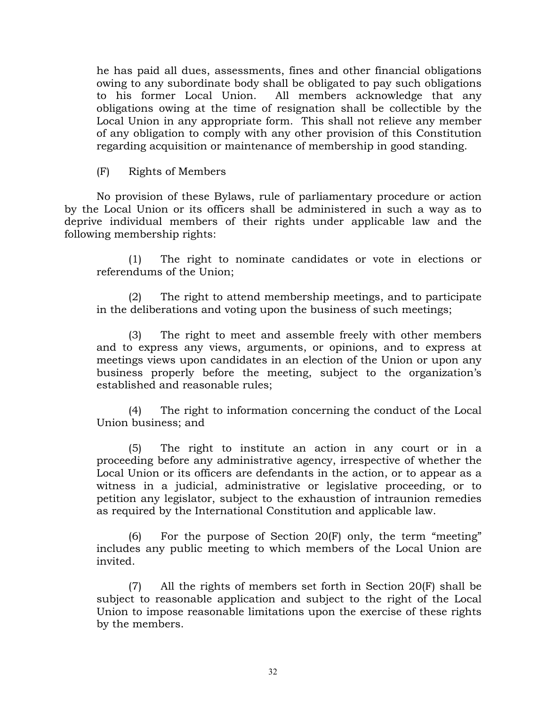he has paid all dues, assessments, fines and other financial obligations owing to any subordinate body shall be obligated to pay such obligations to his former Local Union. All members acknowledge that any obligations owing at the time of resignation shall be collectible by the Local Union in any appropriate form. This shall not relieve any member of any obligation to comply with any other provision of this Constitution regarding acquisition or maintenance of membership in good standing.

(F) Rights of Members

No provision of these Bylaws, rule of parliamentary procedure or action by the Local Union or its officers shall be administered in such a way as to deprive individual members of their rights under applicable law and the following membership rights:

(1) The right to nominate candidates or vote in elections or referendums of the Union;

(2) The right to attend membership meetings, and to participate in the deliberations and voting upon the business of such meetings;

(3) The right to meet and assemble freely with other members and to express any views, arguments, or opinions, and to express at meetings views upon candidates in an election of the Union or upon any business properly before the meeting, subject to the organization's established and reasonable rules;

(4) The right to information concerning the conduct of the Local Union business; and

(5) The right to institute an action in any court or in a proceeding before any administrative agency, irrespective of whether the Local Union or its officers are defendants in the action, or to appear as a witness in a judicial, administrative or legislative proceeding, or to petition any legislator, subject to the exhaustion of intraunion remedies as required by the International Constitution and applicable law.

(6) For the purpose of Section 20(F) only, the term "meeting" includes any public meeting to which members of the Local Union are invited.

(7) All the rights of members set forth in Section 20(F) shall be subject to reasonable application and subject to the right of the Local Union to impose reasonable limitations upon the exercise of these rights by the members.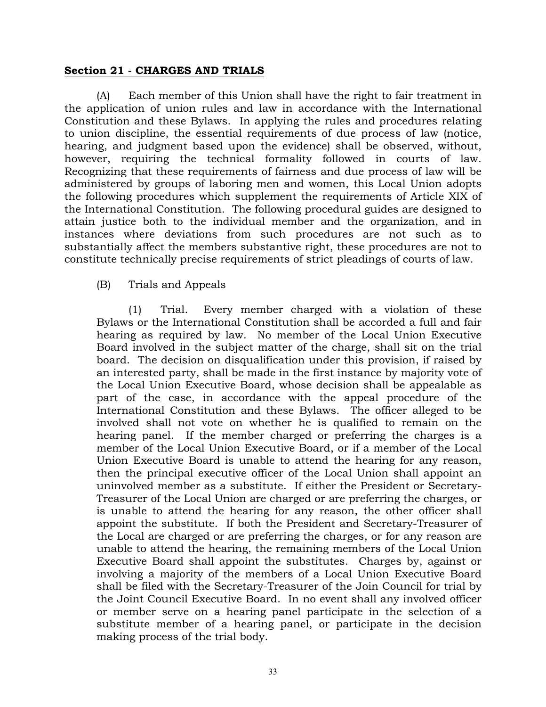### **Section 21 - CHARGES AND TRIALS**

(A) Each member of this Union shall have the right to fair treatment in the application of union rules and law in accordance with the International Constitution and these Bylaws. In applying the rules and procedures relating to union discipline, the essential requirements of due process of law (notice, hearing, and judgment based upon the evidence) shall be observed, without, however, requiring the technical formality followed in courts of law. Recognizing that these requirements of fairness and due process of law will be administered by groups of laboring men and women, this Local Union adopts the following procedures which supplement the requirements of Article XIX of the International Constitution. The following procedural guides are designed to attain justice both to the individual member and the organization, and in instances where deviations from such procedures are not such as to substantially affect the members substantive right, these procedures are not to constitute technically precise requirements of strict pleadings of courts of law.

### (B) Trials and Appeals

(1) Trial. Every member charged with a violation of these Bylaws or the International Constitution shall be accorded a full and fair hearing as required by law. No member of the Local Union Executive Board involved in the subject matter of the charge, shall sit on the trial board. The decision on disqualification under this provision, if raised by an interested party, shall be made in the first instance by majority vote of the Local Union Executive Board, whose decision shall be appealable as part of the case, in accordance with the appeal procedure of the International Constitution and these Bylaws. The officer alleged to be involved shall not vote on whether he is qualified to remain on the hearing panel. If the member charged or preferring the charges is a member of the Local Union Executive Board, or if a member of the Local Union Executive Board is unable to attend the hearing for any reason, then the principal executive officer of the Local Union shall appoint an uninvolved member as a substitute. If either the President or Secretary-Treasurer of the Local Union are charged or are preferring the charges, or is unable to attend the hearing for any reason, the other officer shall appoint the substitute. If both the President and Secretary-Treasurer of the Local are charged or are preferring the charges, or for any reason are unable to attend the hearing, the remaining members of the Local Union Executive Board shall appoint the substitutes. Charges by, against or involving a majority of the members of a Local Union Executive Board shall be filed with the Secretary-Treasurer of the Join Council for trial by the Joint Council Executive Board. In no event shall any involved officer or member serve on a hearing panel participate in the selection of a substitute member of a hearing panel, or participate in the decision making process of the trial body.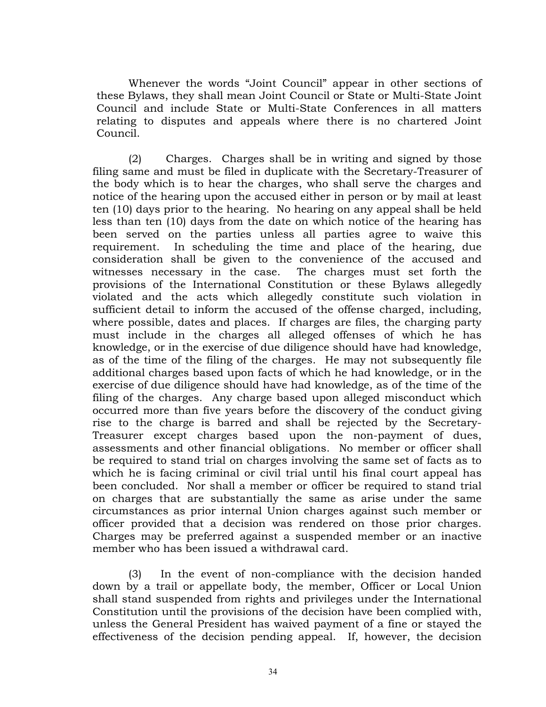Whenever the words "Joint Council" appear in other sections of these Bylaws, they shall mean Joint Council or State or Multi-State Joint Council and include State or Multi-State Conferences in all matters relating to disputes and appeals where there is no chartered Joint Council.

(2) Charges. Charges shall be in writing and signed by those filing same and must be filed in duplicate with the Secretary-Treasurer of the body which is to hear the charges, who shall serve the charges and notice of the hearing upon the accused either in person or by mail at least ten (10) days prior to the hearing. No hearing on any appeal shall be held less than ten (10) days from the date on which notice of the hearing has been served on the parties unless all parties agree to waive this requirement. In scheduling the time and place of the hearing, due consideration shall be given to the convenience of the accused and witnesses necessary in the case. The charges must set forth the provisions of the International Constitution or these Bylaws allegedly violated and the acts which allegedly constitute such violation in sufficient detail to inform the accused of the offense charged, including, where possible, dates and places. If charges are files, the charging party must include in the charges all alleged offenses of which he has knowledge, or in the exercise of due diligence should have had knowledge, as of the time of the filing of the charges. He may not subsequently file additional charges based upon facts of which he had knowledge, or in the exercise of due diligence should have had knowledge, as of the time of the filing of the charges. Any charge based upon alleged misconduct which occurred more than five years before the discovery of the conduct giving rise to the charge is barred and shall be rejected by the Secretary-Treasurer except charges based upon the non-payment of dues, assessments and other financial obligations. No member or officer shall be required to stand trial on charges involving the same set of facts as to which he is facing criminal or civil trial until his final court appeal has been concluded. Nor shall a member or officer be required to stand trial on charges that are substantially the same as arise under the same circumstances as prior internal Union charges against such member or officer provided that a decision was rendered on those prior charges. Charges may be preferred against a suspended member or an inactive member who has been issued a withdrawal card.

(3) In the event of non-compliance with the decision handed down by a trail or appellate body, the member, Officer or Local Union shall stand suspended from rights and privileges under the International Constitution until the provisions of the decision have been complied with, unless the General President has waived payment of a fine or stayed the effectiveness of the decision pending appeal. If, however, the decision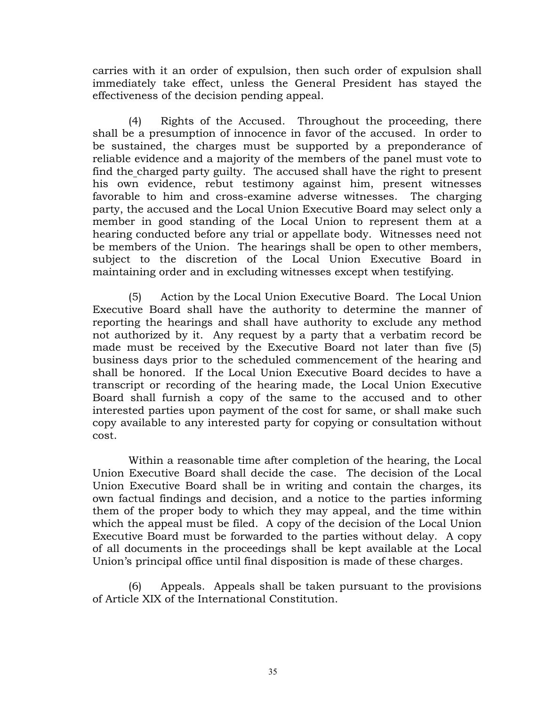carries with it an order of expulsion, then such order of expulsion shall immediately take effect, unless the General President has stayed the effectiveness of the decision pending appeal.

(4) Rights of the Accused. Throughout the proceeding, there shall be a presumption of innocence in favor of the accused. In order to be sustained, the charges must be supported by a preponderance of reliable evidence and a majority of the members of the panel must vote to find the charged party guilty. The accused shall have the right to present his own evidence, rebut testimony against him, present witnesses favorable to him and cross-examine adverse witnesses. The charging party, the accused and the Local Union Executive Board may select only a member in good standing of the Local Union to represent them at a hearing conducted before any trial or appellate body. Witnesses need not be members of the Union. The hearings shall be open to other members, subject to the discretion of the Local Union Executive Board in maintaining order and in excluding witnesses except when testifying.

(5) Action by the Local Union Executive Board. The Local Union Executive Board shall have the authority to determine the manner of reporting the hearings and shall have authority to exclude any method not authorized by it. Any request by a party that a verbatim record be made must be received by the Executive Board not later than five (5) business days prior to the scheduled commencement of the hearing and shall be honored. If the Local Union Executive Board decides to have a transcript or recording of the hearing made, the Local Union Executive Board shall furnish a copy of the same to the accused and to other interested parties upon payment of the cost for same, or shall make such copy available to any interested party for copying or consultation without cost.

Within a reasonable time after completion of the hearing, the Local Union Executive Board shall decide the case. The decision of the Local Union Executive Board shall be in writing and contain the charges, its own factual findings and decision, and a notice to the parties informing them of the proper body to which they may appeal, and the time within which the appeal must be filed. A copy of the decision of the Local Union Executive Board must be forwarded to the parties without delay. A copy of all documents in the proceedings shall be kept available at the Local Union's principal office until final disposition is made of these charges.

(6) Appeals. Appeals shall be taken pursuant to the provisions of Article XIX of the International Constitution.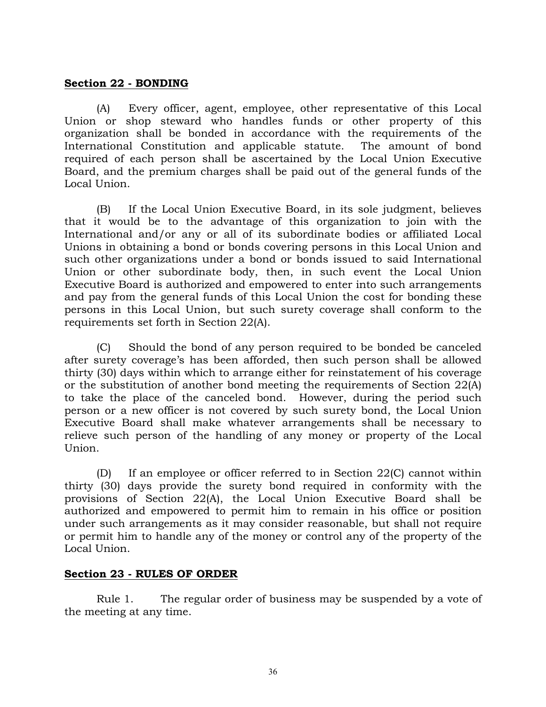### **Section 22 - BONDING**

(A) Every officer, agent, employee, other representative of this Local Union or shop steward who handles funds or other property of this organization shall be bonded in accordance with the requirements of the International Constitution and applicable statute. The amount of bond required of each person shall be ascertained by the Local Union Executive Board, and the premium charges shall be paid out of the general funds of the Local Union.

(B) If the Local Union Executive Board, in its sole judgment, believes that it would be to the advantage of this organization to join with the International and/or any or all of its subordinate bodies or affiliated Local Unions in obtaining a bond or bonds covering persons in this Local Union and such other organizations under a bond or bonds issued to said International Union or other subordinate body, then, in such event the Local Union Executive Board is authorized and empowered to enter into such arrangements and pay from the general funds of this Local Union the cost for bonding these persons in this Local Union, but such surety coverage shall conform to the requirements set forth in Section 22(A).

(C) Should the bond of any person required to be bonded be canceled after surety coverage's has been afforded, then such person shall be allowed thirty (30) days within which to arrange either for reinstatement of his coverage or the substitution of another bond meeting the requirements of Section 22(A) to take the place of the canceled bond. However, during the period such person or a new officer is not covered by such surety bond, the Local Union Executive Board shall make whatever arrangements shall be necessary to relieve such person of the handling of any money or property of the Local Union.

(D) If an employee or officer referred to in Section 22(C) cannot within thirty (30) days provide the surety bond required in conformity with the provisions of Section 22(A), the Local Union Executive Board shall be authorized and empowered to permit him to remain in his office or position under such arrangements as it may consider reasonable, but shall not require or permit him to handle any of the money or control any of the property of the Local Union.

# **Section 23 - RULES OF ORDER**

Rule 1. The regular order of business may be suspended by a vote of the meeting at any time.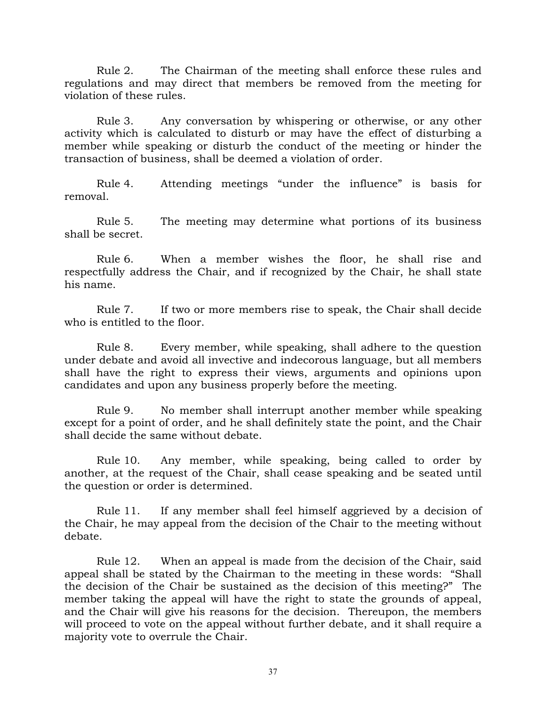Rule 2. The Chairman of the meeting shall enforce these rules and regulations and may direct that members be removed from the meeting for violation of these rules.

Rule 3. Any conversation by whispering or otherwise, or any other activity which is calculated to disturb or may have the effect of disturbing a member while speaking or disturb the conduct of the meeting or hinder the transaction of business, shall be deemed a violation of order.

Rule 4. Attending meetings "under the influence" is basis for removal.

Rule 5. The meeting may determine what portions of its business shall be secret.

Rule 6. When a member wishes the floor, he shall rise and respectfully address the Chair, and if recognized by the Chair, he shall state his name.

Rule 7. If two or more members rise to speak, the Chair shall decide who is entitled to the floor.

Rule 8. Every member, while speaking, shall adhere to the question under debate and avoid all invective and indecorous language, but all members shall have the right to express their views, arguments and opinions upon candidates and upon any business properly before the meeting.

Rule 9. No member shall interrupt another member while speaking except for a point of order, and he shall definitely state the point, and the Chair shall decide the same without debate.

Rule 10. Any member, while speaking, being called to order by another, at the request of the Chair, shall cease speaking and be seated until the question or order is determined.

Rule 11. If any member shall feel himself aggrieved by a decision of the Chair, he may appeal from the decision of the Chair to the meeting without debate.

Rule 12. When an appeal is made from the decision of the Chair, said appeal shall be stated by the Chairman to the meeting in these words: "Shall the decision of the Chair be sustained as the decision of this meeting?" The member taking the appeal will have the right to state the grounds of appeal, and the Chair will give his reasons for the decision. Thereupon, the members will proceed to vote on the appeal without further debate, and it shall require a majority vote to overrule the Chair.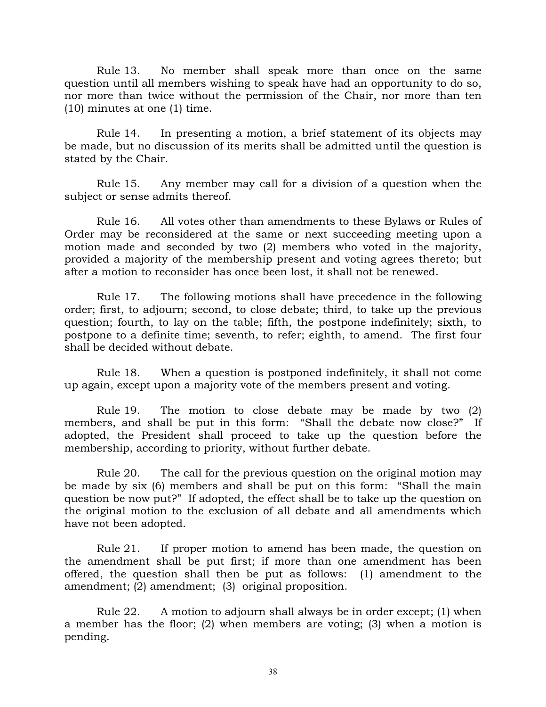Rule 13. No member shall speak more than once on the same question until all members wishing to speak have had an opportunity to do so, nor more than twice without the permission of the Chair, nor more than ten (10) minutes at one (1) time.

Rule 14. In presenting a motion, a brief statement of its objects may be made, but no discussion of its merits shall be admitted until the question is stated by the Chair.

Rule 15. Any member may call for a division of a question when the subject or sense admits thereof.

Rule 16. All votes other than amendments to these Bylaws or Rules of Order may be reconsidered at the same or next succeeding meeting upon a motion made and seconded by two (2) members who voted in the majority, provided a majority of the membership present and voting agrees thereto; but after a motion to reconsider has once been lost, it shall not be renewed.

Rule 17. The following motions shall have precedence in the following order; first, to adjourn; second, to close debate; third, to take up the previous question; fourth, to lay on the table; fifth, the postpone indefinitely; sixth, to postpone to a definite time; seventh, to refer; eighth, to amend. The first four shall be decided without debate.

Rule 18. When a question is postponed indefinitely, it shall not come up again, except upon a majority vote of the members present and voting.

Rule 19. The motion to close debate may be made by two (2) members, and shall be put in this form: "Shall the debate now close?" If adopted, the President shall proceed to take up the question before the membership, according to priority, without further debate.

Rule 20. The call for the previous question on the original motion may be made by six (6) members and shall be put on this form: "Shall the main question be now put?" If adopted, the effect shall be to take up the question on the original motion to the exclusion of all debate and all amendments which have not been adopted.

Rule 21. If proper motion to amend has been made, the question on the amendment shall be put first; if more than one amendment has been offered, the question shall then be put as follows: (1) amendment to the amendment; (2) amendment; (3) original proposition.

Rule 22. A motion to adjourn shall always be in order except; (1) when a member has the floor; (2) when members are voting; (3) when a motion is pending.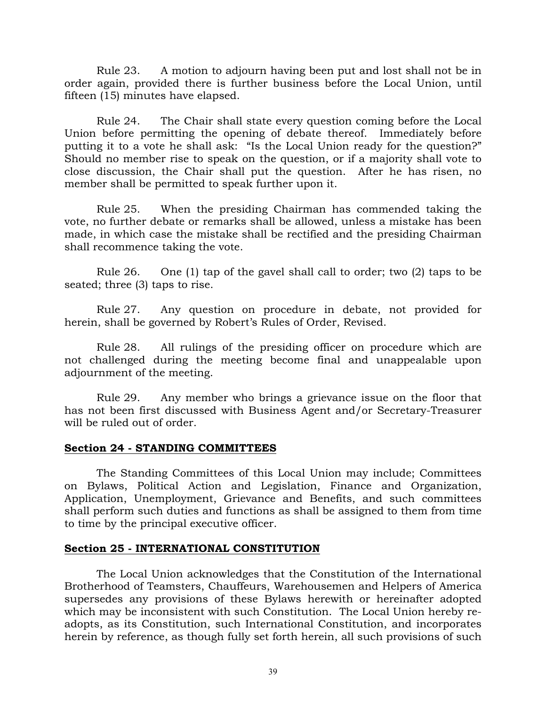Rule 23. A motion to adjourn having been put and lost shall not be in order again, provided there is further business before the Local Union, until fifteen (15) minutes have elapsed.

Rule 24. The Chair shall state every question coming before the Local Union before permitting the opening of debate thereof. Immediately before putting it to a vote he shall ask: "Is the Local Union ready for the question?" Should no member rise to speak on the question, or if a majority shall vote to close discussion, the Chair shall put the question. After he has risen, no member shall be permitted to speak further upon it.

Rule 25. When the presiding Chairman has commended taking the vote, no further debate or remarks shall be allowed, unless a mistake has been made, in which case the mistake shall be rectified and the presiding Chairman shall recommence taking the vote.

Rule 26. One (1) tap of the gavel shall call to order; two (2) taps to be seated; three (3) taps to rise.

Rule 27. Any question on procedure in debate, not provided for herein, shall be governed by Robert's Rules of Order, Revised.

Rule 28. All rulings of the presiding officer on procedure which are not challenged during the meeting become final and unappealable upon adjournment of the meeting.

Rule 29. Any member who brings a grievance issue on the floor that has not been first discussed with Business Agent and/or Secretary-Treasurer will be ruled out of order.

### **Section 24 - STANDING COMMITTEES**

The Standing Committees of this Local Union may include; Committees on Bylaws, Political Action and Legislation, Finance and Organization, Application, Unemployment, Grievance and Benefits, and such committees shall perform such duties and functions as shall be assigned to them from time to time by the principal executive officer.

### **Section 25 - INTERNATIONAL CONSTITUTION**

The Local Union acknowledges that the Constitution of the International Brotherhood of Teamsters, Chauffeurs, Warehousemen and Helpers of America supersedes any provisions of these Bylaws herewith or hereinafter adopted which may be inconsistent with such Constitution. The Local Union hereby readopts, as its Constitution, such International Constitution, and incorporates herein by reference, as though fully set forth herein, all such provisions of such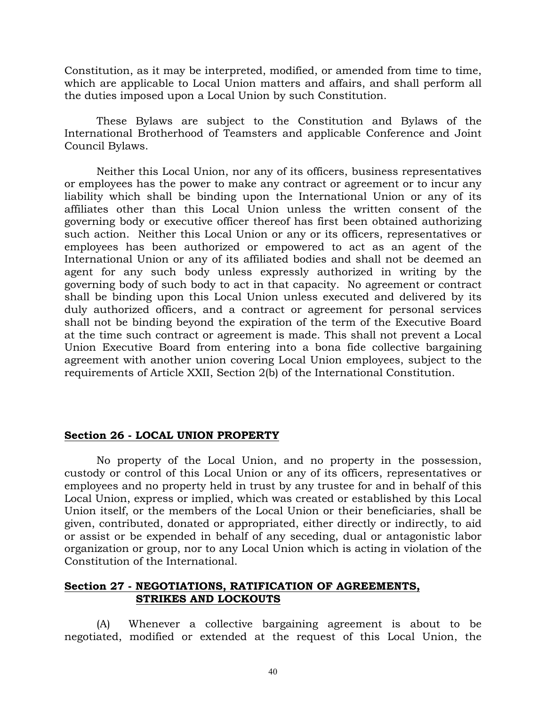Constitution, as it may be interpreted, modified, or amended from time to time, which are applicable to Local Union matters and affairs, and shall perform all the duties imposed upon a Local Union by such Constitution.

These Bylaws are subject to the Constitution and Bylaws of the International Brotherhood of Teamsters and applicable Conference and Joint Council Bylaws.

Neither this Local Union, nor any of its officers, business representatives or employees has the power to make any contract or agreement or to incur any liability which shall be binding upon the International Union or any of its affiliates other than this Local Union unless the written consent of the governing body or executive officer thereof has first been obtained authorizing such action. Neither this Local Union or any or its officers, representatives or employees has been authorized or empowered to act as an agent of the International Union or any of its affiliated bodies and shall not be deemed an agent for any such body unless expressly authorized in writing by the governing body of such body to act in that capacity. No agreement or contract shall be binding upon this Local Union unless executed and delivered by its duly authorized officers, and a contract or agreement for personal services shall not be binding beyond the expiration of the term of the Executive Board at the time such contract or agreement is made. This shall not prevent a Local Union Executive Board from entering into a bona fide collective bargaining agreement with another union covering Local Union employees, subject to the requirements of Article XXII, Section 2(b) of the International Constitution.

### **Section 26 - LOCAL UNION PROPERTY**

No property of the Local Union, and no property in the possession, custody or control of this Local Union or any of its officers, representatives or employees and no property held in trust by any trustee for and in behalf of this Local Union, express or implied, which was created or established by this Local Union itself, or the members of the Local Union or their beneficiaries, shall be given, contributed, donated or appropriated, either directly or indirectly, to aid or assist or be expended in behalf of any seceding, dual or antagonistic labor organization or group, nor to any Local Union which is acting in violation of the Constitution of the International.

### **Section 27 - NEGOTIATIONS, RATIFICATION OF AGREEMENTS, STRIKES AND LOCKOUTS**

(A) Whenever a collective bargaining agreement is about to be negotiated, modified or extended at the request of this Local Union, the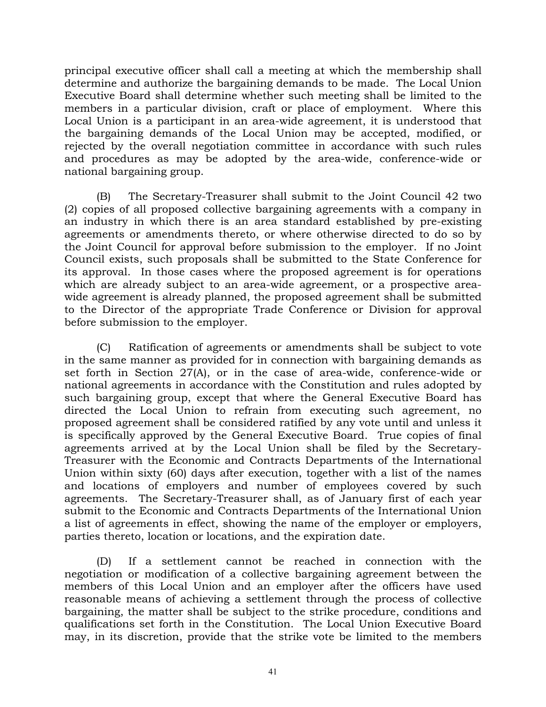principal executive officer shall call a meeting at which the membership shall determine and authorize the bargaining demands to be made. The Local Union Executive Board shall determine whether such meeting shall be limited to the members in a particular division, craft or place of employment. Where this Local Union is a participant in an area-wide agreement, it is understood that the bargaining demands of the Local Union may be accepted, modified, or rejected by the overall negotiation committee in accordance with such rules and procedures as may be adopted by the area-wide, conference-wide or national bargaining group.

(B) The Secretary-Treasurer shall submit to the Joint Council 42 two (2) copies of all proposed collective bargaining agreements with a company in an industry in which there is an area standard established by pre-existing agreements or amendments thereto, or where otherwise directed to do so by the Joint Council for approval before submission to the employer. If no Joint Council exists, such proposals shall be submitted to the State Conference for its approval. In those cases where the proposed agreement is for operations which are already subject to an area-wide agreement, or a prospective areawide agreement is already planned, the proposed agreement shall be submitted to the Director of the appropriate Trade Conference or Division for approval before submission to the employer.

(C) Ratification of agreements or amendments shall be subject to vote in the same manner as provided for in connection with bargaining demands as set forth in Section 27(A), or in the case of area-wide, conference-wide or national agreements in accordance with the Constitution and rules adopted by such bargaining group, except that where the General Executive Board has directed the Local Union to refrain from executing such agreement, no proposed agreement shall be considered ratified by any vote until and unless it is specifically approved by the General Executive Board. True copies of final agreements arrived at by the Local Union shall be filed by the Secretary-Treasurer with the Economic and Contracts Departments of the International Union within sixty (60) days after execution, together with a list of the names and locations of employers and number of employees covered by such agreements. The Secretary-Treasurer shall, as of January first of each year submit to the Economic and Contracts Departments of the International Union a list of agreements in effect, showing the name of the employer or employers, parties thereto, location or locations, and the expiration date.

(D) If a settlement cannot be reached in connection with the negotiation or modification of a collective bargaining agreement between the members of this Local Union and an employer after the officers have used reasonable means of achieving a settlement through the process of collective bargaining, the matter shall be subject to the strike procedure, conditions and qualifications set forth in the Constitution. The Local Union Executive Board may, in its discretion, provide that the strike vote be limited to the members

41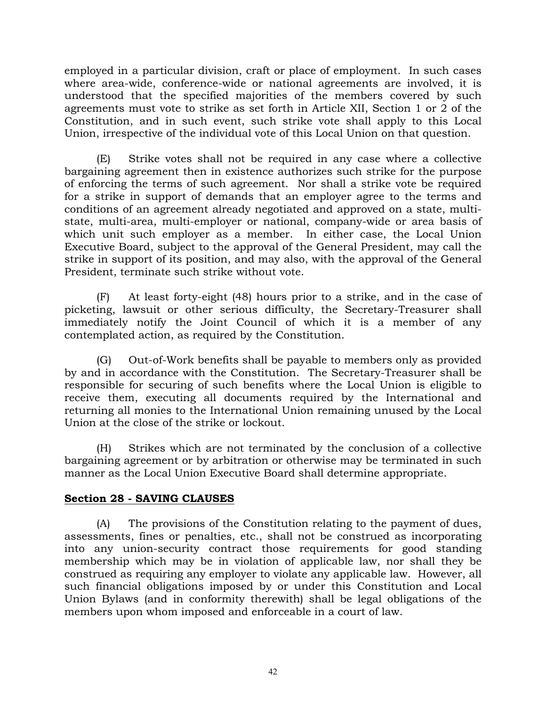employed in a particular division, craft or place of employment. In such cases where area-wide, conference-wide or national agreements are involved, it is understood that the specified majorities of the members covered by such agreements must vote to strike as set forth in Article XII, Section 1 or 2 of the Constitution, and in such event, such strike vote shall apply to this Local Union, irrespective of the individual vote of this Local Union on that question.

(E) Strike votes shall not be required in any case where a collective bargaining agreement then in existence authorizes such strike for the purpose of enforcing the terms of such agreement. Nor shall a strike vote be required for a strike in support of demands that an employer agree to the terms and conditions of an agreement already negotiated and approved on a state, multistate, multi-area, multi-employer or national, company-wide or area basis of which unit such employer as a member. In either case, the Local Union Executive Board, subject to the approval of the General President, may call the strike in support of its position, and may also, with the approval of the General President, terminate such strike without vote.

(F) At least forty-eight (48) hours prior to a strike, and in the case of picketing, lawsuit or other serious difficulty, the Secretary-Treasurer shall immediately notify the Joint Council of which it is a member of any contemplated action, as required by the Constitution.

(G) Out-of-Work benefits shall be payable to members only as provided by and in accordance with the Constitution. The Secretary-Treasurer shall be responsible for securing of such benefits where the Local Union is eligible to receive them, executing all documents required by the International and returning all monies to the International Union remaining unused by the Local Union at the close of the strike or lockout.

(H) Strikes which are not terminated by the conclusion of a collective bargaining agreement or by arbitration or otherwise may be terminated in such manner as the Local Union Executive Board shall determine appropriate.

# **Section 28 - SAVING CLAUSES**

(A) The provisions of the Constitution relating to the payment of dues, assessments, fines or penalties, etc., shall not be construed as incorporating into any union-security contract those requirements for good standing membership which may be in violation of applicable law, nor shall they be construed as requiring any employer to violate any applicable law. However, all such financial obligations imposed by or under this Constitution and Local Union Bylaws (and in conformity therewith) shall be legal obligations of the members upon whom imposed and enforceable in a court of law.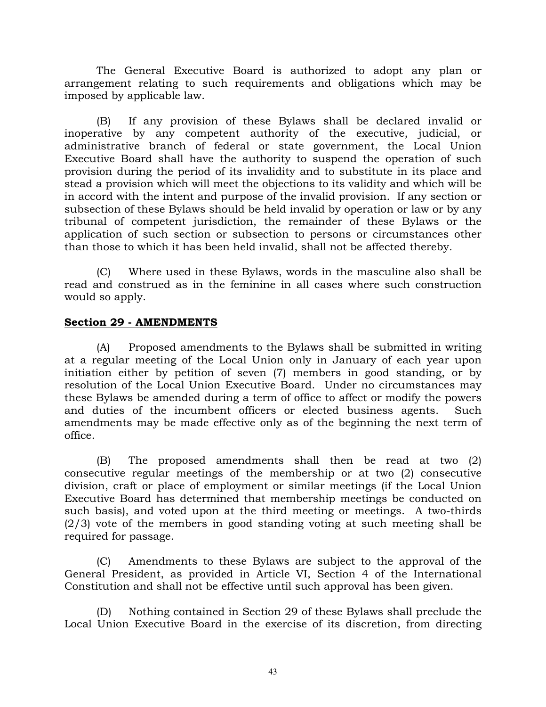The General Executive Board is authorized to adopt any plan or arrangement relating to such requirements and obligations which may be imposed by applicable law.

(B) If any provision of these Bylaws shall be declared invalid or inoperative by any competent authority of the executive, judicial, or administrative branch of federal or state government, the Local Union Executive Board shall have the authority to suspend the operation of such provision during the period of its invalidity and to substitute in its place and stead a provision which will meet the objections to its validity and which will be in accord with the intent and purpose of the invalid provision. If any section or subsection of these Bylaws should be held invalid by operation or law or by any tribunal of competent jurisdiction, the remainder of these Bylaws or the application of such section or subsection to persons or circumstances other than those to which it has been held invalid, shall not be affected thereby.

(C) Where used in these Bylaws, words in the masculine also shall be read and construed as in the feminine in all cases where such construction would so apply.

### **Section 29 - AMENDMENTS**

(A) Proposed amendments to the Bylaws shall be submitted in writing at a regular meeting of the Local Union only in January of each year upon initiation either by petition of seven (7) members in good standing, or by resolution of the Local Union Executive Board. Under no circumstances may these Bylaws be amended during a term of office to affect or modify the powers and duties of the incumbent officers or elected business agents. Such amendments may be made effective only as of the beginning the next term of office.

(B) The proposed amendments shall then be read at two (2) consecutive regular meetings of the membership or at two (2) consecutive division, craft or place of employment or similar meetings (if the Local Union Executive Board has determined that membership meetings be conducted on such basis), and voted upon at the third meeting or meetings. A two-thirds (2/3) vote of the members in good standing voting at such meeting shall be required for passage.

(C) Amendments to these Bylaws are subject to the approval of the General President, as provided in Article VI, Section 4 of the International Constitution and shall not be effective until such approval has been given.

(D) Nothing contained in Section 29 of these Bylaws shall preclude the Local Union Executive Board in the exercise of its discretion, from directing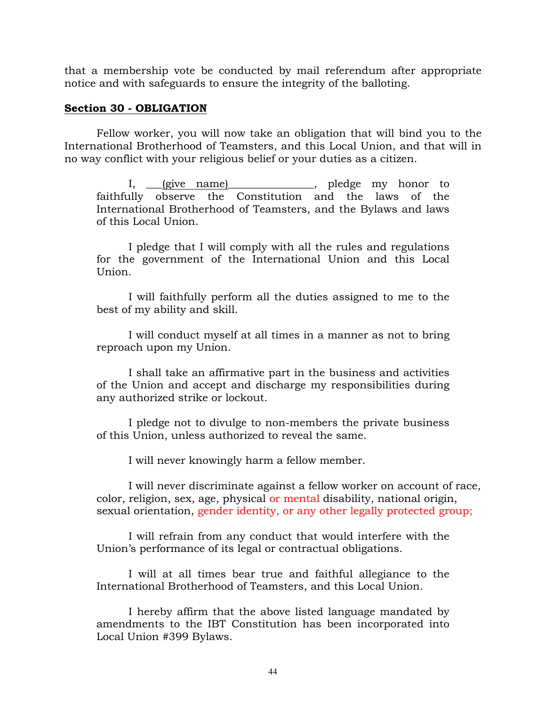that a membership vote be conducted by mail referendum after appropriate notice and with safeguards to ensure the integrity of the balloting.

### **Section 30 - OBLIGATION**

Fellow worker, you will now take an obligation that will bind you to the International Brotherhood of Teamsters, and this Local Union, and that will in no way conflict with your religious belief or your duties as a citizen.

I, give name) in pledge my honor to faithfully observe the Constitution and the laws of the International Brotherhood of Teamsters, and the Bylaws and laws of this Local Union.

I pledge that I will comply with all the rules and regulations for the government of the International Union and this Local Union.

I will faithfully perform all the duties assigned to me to the best of my ability and skill.

I will conduct myself at all times in a manner as not to bring reproach upon my Union.

I shall take an affirmative part in the business and activities of the Union and accept and discharge my responsibilities during any authorized strike or lockout.

I pledge not to divulge to non-members the private business of this Union, unless authorized to reveal the same.

I will never knowingly harm a fellow member.

I will never discriminate against a fellow worker on account of race, color, religion, sex, age, physical or mental disability, national origin, sexual orientation, gender identity, or any other legally protected group;

I will refrain from any conduct that would interfere with the Union's performance of its legal or contractual obligations.

I will at all times bear true and faithful allegiance to the International Brotherhood of Teamsters, and this Local Union.

I hereby affirm that the above listed language mandated by amendments to the IBT Constitution has been incorporated into Local Union #399 Bylaws.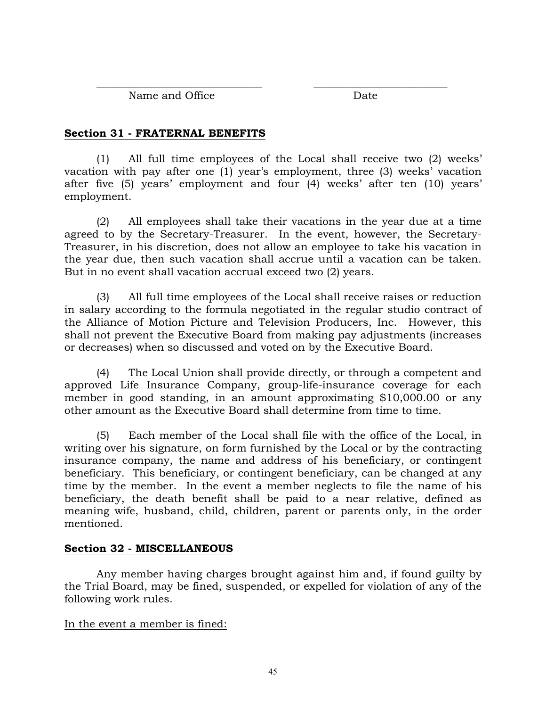\_\_\_\_\_\_\_\_\_\_\_\_\_\_\_\_\_\_\_\_\_\_\_\_\_\_\_\_\_\_\_ \_\_\_\_\_\_\_\_\_\_\_\_\_\_\_\_\_\_\_\_\_\_\_\_\_ Name and Office Date

# **Section 31 - FRATERNAL BENEFITS**

(1) All full time employees of the Local shall receive two (2) weeks' vacation with pay after one (1) year's employment, three (3) weeks' vacation after five (5) years' employment and four (4) weeks' after ten (10) years' employment.

(2) All employees shall take their vacations in the year due at a time agreed to by the Secretary-Treasurer. In the event, however, the Secretary-Treasurer, in his discretion, does not allow an employee to take his vacation in the year due, then such vacation shall accrue until a vacation can be taken. But in no event shall vacation accrual exceed two (2) years.

(3) All full time employees of the Local shall receive raises or reduction in salary according to the formula negotiated in the regular studio contract of the Alliance of Motion Picture and Television Producers, Inc. However, this shall not prevent the Executive Board from making pay adjustments (increases or decreases) when so discussed and voted on by the Executive Board.

(4) The Local Union shall provide directly, or through a competent and approved Life Insurance Company, group-life-insurance coverage for each member in good standing, in an amount approximating \$10,000.00 or any other amount as the Executive Board shall determine from time to time.

(5) Each member of the Local shall file with the office of the Local, in writing over his signature, on form furnished by the Local or by the contracting insurance company, the name and address of his beneficiary, or contingent beneficiary. This beneficiary, or contingent beneficiary, can be changed at any time by the member. In the event a member neglects to file the name of his beneficiary, the death benefit shall be paid to a near relative, defined as meaning wife, husband, child, children, parent or parents only, in the order mentioned.

# **Section 32 - MISCELLANEOUS**

Any member having charges brought against him and, if found guilty by the Trial Board, may be fined, suspended, or expelled for violation of any of the following work rules.

# In the event a member is fined: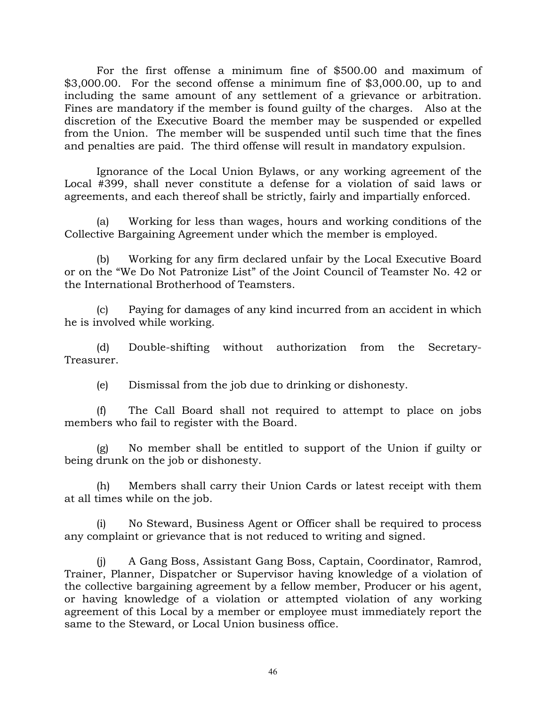For the first offense a minimum fine of \$500.00 and maximum of \$3,000.00. For the second offense a minimum fine of \$3,000.00, up to and including the same amount of any settlement of a grievance or arbitration. Fines are mandatory if the member is found guilty of the charges. Also at the discretion of the Executive Board the member may be suspended or expelled from the Union. The member will be suspended until such time that the fines and penalties are paid. The third offense will result in mandatory expulsion.

Ignorance of the Local Union Bylaws, or any working agreement of the Local #399, shall never constitute a defense for a violation of said laws or agreements, and each thereof shall be strictly, fairly and impartially enforced.

(a) Working for less than wages, hours and working conditions of the Collective Bargaining Agreement under which the member is employed.

(b) Working for any firm declared unfair by the Local Executive Board or on the "We Do Not Patronize List" of the Joint Council of Teamster No. 42 or the International Brotherhood of Teamsters.

(c) Paying for damages of any kind incurred from an accident in which he is involved while working.

(d) Double-shifting without authorization from the Secretary-Treasurer.

(e) Dismissal from the job due to drinking or dishonesty.

(f) The Call Board shall not required to attempt to place on jobs members who fail to register with the Board.

(g) No member shall be entitled to support of the Union if guilty or being drunk on the job or dishonesty.

(h) Members shall carry their Union Cards or latest receipt with them at all times while on the job.

(i) No Steward, Business Agent or Officer shall be required to process any complaint or grievance that is not reduced to writing and signed.

(j) A Gang Boss, Assistant Gang Boss, Captain, Coordinator, Ramrod, Trainer, Planner, Dispatcher or Supervisor having knowledge of a violation of the collective bargaining agreement by a fellow member, Producer or his agent, or having knowledge of a violation or attempted violation of any working agreement of this Local by a member or employee must immediately report the same to the Steward, or Local Union business office.